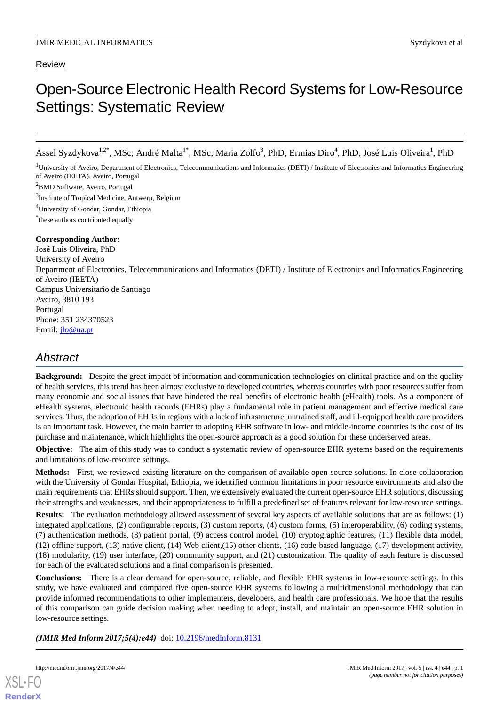#### Review

# Open-Source Electronic Health Record Systems for Low-Resource Settings: Systematic Review

Assel Syzdykova<sup>1,2\*</sup>, MSc; André Malta<sup>1\*</sup>, MSc; Maria Zolfo<sup>3</sup>, PhD; Ermias Diro<sup>4</sup>, PhD; José Luis Oliveira<sup>1</sup>, PhD

<sup>1</sup>University of Aveiro, Department of Electronics, Telecommunications and Informatics (DETI) / Institute of Electronics and Informatics Engineering of Aveiro (IEETA), Aveiro, Portugal

<sup>2</sup>BMD Software, Aveiro, Portugal

<sup>3</sup>Institute of Tropical Medicine, Antwerp, Belgium

<sup>4</sup>University of Gondar, Gondar, Ethiopia

\* these authors contributed equally

#### **Corresponding Author:**

José Luis Oliveira, PhD University of Aveiro Department of Electronics, Telecommunications and Informatics (DETI) / Institute of Electronics and Informatics Engineering of Aveiro (IEETA) Campus Universitario de Santiago Aveiro, 3810 193 Portugal Phone: 351 234370523 Email: [jlo@ua.pt](mailto:jlo@ua.pt)

## *Abstract*

**Background:** Despite the great impact of information and communication technologies on clinical practice and on the quality of health services, this trend has been almost exclusive to developed countries, whereas countries with poor resources suffer from many economic and social issues that have hindered the real benefits of electronic health (eHealth) tools. As a component of eHealth systems, electronic health records (EHRs) play a fundamental role in patient management and effective medical care services. Thus, the adoption of EHRs in regions with a lack of infrastructure, untrained staff, and ill-equipped health care providers is an important task. However, the main barrier to adopting EHR software in low- and middle-income countries is the cost of its purchase and maintenance, which highlights the open-source approach as a good solution for these underserved areas.

**Objective:** The aim of this study was to conduct a systematic review of open-source EHR systems based on the requirements and limitations of low-resource settings.

**Methods:** First, we reviewed existing literature on the comparison of available open-source solutions. In close collaboration with the University of Gondar Hospital, Ethiopia, we identified common limitations in poor resource environments and also the main requirements that EHRs should support. Then, we extensively evaluated the current open-source EHR solutions, discussing their strengths and weaknesses, and their appropriateness to fulfill a predefined set of features relevant for low-resource settings.

**Results:** The evaluation methodology allowed assessment of several key aspects of available solutions that are as follows: (1) integrated applications, (2) configurable reports, (3) custom reports, (4) custom forms, (5) interoperability, (6) coding systems, (7) authentication methods, (8) patient portal, (9) access control model, (10) cryptographic features, (11) flexible data model, (12) offline support, (13) native client, (14) Web client,(15) other clients, (16) code-based language, (17) development activity, (18) modularity, (19) user interface, (20) community support, and (21) customization. The quality of each feature is discussed for each of the evaluated solutions and a final comparison is presented.

**Conclusions:** There is a clear demand for open-source, reliable, and flexible EHR systems in low-resource settings. In this study, we have evaluated and compared five open-source EHR systems following a multidimensional methodology that can provide informed recommendations to other implementers, developers, and health care professionals. We hope that the results of this comparison can guide decision making when needing to adopt, install, and maintain an open-source EHR solution in low-resource settings.

(JMIR Med Inform 2017;5(4):e44) doi: [10.2196/medinform.8131](http://dx.doi.org/10.2196/medinform.8131)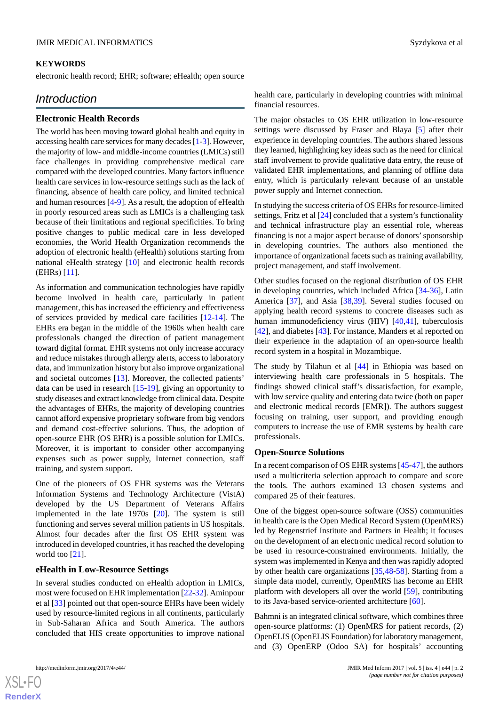#### **KEYWORDS**

electronic health record; EHR; software; eHealth; open source

### *Introduction*

#### **Electronic Health Records**

The world has been moving toward global health and equity in accessing health care services for many decades [\[1](#page-11-0)-[3](#page-11-1)]. However, the majority of low- and middle-income countries (LMICs) still face challenges in providing comprehensive medical care compared with the developed countries. Many factors influence health care services in low-resource settings such as the lack of financing, absence of health care policy, and limited technical and human resources [\[4](#page-11-2)-[9\]](#page-11-3). As a result, the adoption of eHealth in poorly resourced areas such as LMICs is a challenging task because of their limitations and regional specificities. To bring positive changes to public medical care in less developed economies, the World Health Organization recommends the adoption of electronic health (eHealth) solutions starting from national eHealth strategy [[10\]](#page-11-4) and electronic health records (EHRs) [[11\]](#page-11-5).

As information and communication technologies have rapidly become involved in health care, particularly in patient management, this has increased the efficiency and effectiveness of services provided by medical care facilities [[12](#page-11-6)[-14](#page-11-7)]. The EHRs era began in the middle of the 1960s when health care professionals changed the direction of patient management toward digital format. EHR systems not only increase accuracy and reduce mistakes through allergy alerts, access to laboratory data, and immunization history but also improve organizational and societal outcomes [[13\]](#page-11-8). Moreover, the collected patients' data can be used in research [\[15](#page-12-0)[-19](#page-12-1)], giving an opportunity to study diseases and extract knowledge from clinical data. Despite the advantages of EHRs, the majority of developing countries cannot afford expensive proprietary software from big vendors and demand cost-effective solutions. Thus, the adoption of open-source EHR (OS EHR) is a possible solution for LMICs. Moreover, it is important to consider other accompanying expenses such as power supply, Internet connection, staff training, and system support.

One of the pioneers of OS EHR systems was the Veterans Information Systems and Technology Architecture (VistA) developed by the US Department of Veterans Affairs implemented in the late 1970s [[20\]](#page-12-2). The system is still functioning and serves several million patients in US hospitals. Almost four decades after the first OS EHR system was introduced in developed countries, it has reached the developing world too [[21\]](#page-12-3).

#### **eHealth in Low-Resource Settings**

In several studies conducted on eHealth adoption in LMICs, most were focused on EHR implementation [[22-](#page-12-4)[32\]](#page-12-5). Aminpour et al [[33\]](#page-12-6) pointed out that open-source EHRs have been widely used by resource-limited regions in all continents, particularly in Sub-Saharan Africa and South America. The authors concluded that HIS create opportunities to improve national health care, particularly in developing countries with minimal financial resources.

The major obstacles to OS EHR utilization in low-resource settings were discussed by Fraser and Blaya [[5\]](#page-11-9) after their experience in developing countries. The authors shared lessons they learned, highlighting key ideas such as the need for clinical staff involvement to provide qualitative data entry, the reuse of validated EHR implementations, and planning of offline data entry, which is particularly relevant because of an unstable power supply and Internet connection.

In studying the success criteria of OS EHRs for resource-limited settings, Fritz et al [\[24](#page-12-7)] concluded that a system's functionality and technical infrastructure play an essential role, whereas financing is not a major aspect because of donors'sponsorship in developing countries. The authors also mentioned the importance of organizational facets such as training availability, project management, and staff involvement.

Other studies focused on the regional distribution of OS EHR in developing countries, which included Africa [[34-](#page-12-8)[36\]](#page-12-9), Latin America [[37\]](#page-12-10), and Asia [[38,](#page-13-0)[39](#page-13-1)]. Several studies focused on applying health record systems to concrete diseases such as human immunodeficiency virus (HIV) [[40,](#page-13-2)[41](#page-13-3)], tuberculosis [[42\]](#page-13-4), and diabetes [[43\]](#page-13-5). For instance, Manders et al reported on their experience in the adaptation of an open-source health record system in a hospital in Mozambique.

The study by Tilahun et al [[44\]](#page-13-6) in Ethiopia was based on interviewing health care professionals in 5 hospitals. The findings showed clinical staff's dissatisfaction, for example, with low service quality and entering data twice (both on paper and electronic medical records [EMR]). The authors suggest focusing on training, user support, and providing enough computers to increase the use of EMR systems by health care professionals.

#### **Open-Source Solutions**

In a recent comparison of OS EHR systems [\[45](#page-13-7)-[47\]](#page-13-8), the authors used a multicriteria selection approach to compare and score the tools. The authors examined 13 chosen systems and compared 25 of their features.

One of the biggest open-source software (OSS) communities in health care is the Open Medical Record System (OpenMRS) led by Regenstrief Institute and Partners in Health; it focuses on the development of an electronic medical record solution to be used in resource-constrained environments. Initially, the system was implemented in Kenya and then was rapidly adopted by other health care organizations [[35](#page-12-11)[,48](#page-13-9)-[58\]](#page-13-10). Starting from a simple data model, currently, OpenMRS has become an EHR platform with developers all over the world [\[59](#page-14-0)], contributing to its Java-based service-oriented architecture [[60\]](#page-14-1).

Bahmni is an integrated clinical software, which combines three open-source platforms: (1) OpenMRS for patient records, (2) OpenELIS (OpenELIS Foundation) for laboratory management, and (3) OpenERP (Odoo SA) for hospitals' accounting

 $XSI - F($ **[RenderX](http://www.renderx.com/)**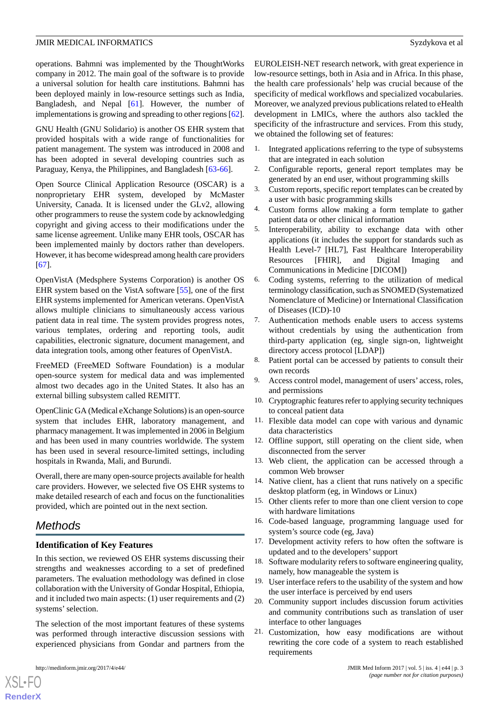operations. Bahmni was implemented by the ThoughtWorks company in 2012. The main goal of the software is to provide a universal solution for health care institutions. Bahmni has been deployed mainly in low-resource settings such as India, Bangladesh, and Nepal [\[61](#page-14-2)]. However, the number of implementations is growing and spreading to other regions [\[62\]](#page-14-3).

GNU Health (GNU Solidario) is another OS EHR system that provided hospitals with a wide range of functionalities for patient management. The system was introduced in 2008 and has been adopted in several developing countries such as Paraguay, Kenya, the Philippines, and Bangladesh [[63-](#page-14-4)[66](#page-14-5)].

Open Source Clinical Application Resource (OSCAR) is a nonproprietary EHR system, developed by McMaster University, Canada. It is licensed under the GLv2, allowing other programmers to reuse the system code by acknowledging copyright and giving access to their modifications under the same license agreement. Unlike many EHR tools, OSCAR has been implemented mainly by doctors rather than developers. However, it has become widespread among health care providers [[67\]](#page-14-6).

OpenVistA (Medsphere Systems Corporation) is another OS EHR system based on the VistA software [\[55](#page-13-11)], one of the first EHR systems implemented for American veterans. OpenVistA allows multiple clinicians to simultaneously access various patient data in real time. The system provides progress notes, various templates, ordering and reporting tools, audit capabilities, electronic signature, document management, and data integration tools, among other features of OpenVistA.

FreeMED (FreeMED Software Foundation) is a modular open-source system for medical data and was implemented almost two decades ago in the United States. It also has an external billing subsystem called REMITT.

OpenClinic GA (Medical eXchange Solutions) is an open-source system that includes EHR, laboratory management, and pharmacy management. It was implemented in 2006 in Belgium and has been used in many countries worldwide. The system has been used in several resource-limited settings, including hospitals in Rwanda, Mali, and Burundi.

Overall, there are many open-source projects available for health care providers. However, we selected five OS EHR systems to make detailed research of each and focus on the functionalities provided, which are pointed out in the next section.

## *Methods*

#### **Identification of Key Features**

In this section, we reviewed OS EHR systems discussing their strengths and weaknesses according to a set of predefined parameters. The evaluation methodology was defined in close collaboration with the University of Gondar Hospital, Ethiopia, and it included two main aspects: (1) user requirements and (2) systems' selection.

The selection of the most important features of these systems was performed through interactive discussion sessions with experienced physicians from Gondar and partners from the

[XSL](http://www.w3.org/Style/XSL)•FO **[RenderX](http://www.renderx.com/)** EUROLEISH-NET research network, with great experience in low-resource settings, both in Asia and in Africa. In this phase, the health care professionals' help was crucial because of the specificity of medical workflows and specialized vocabularies. Moreover, we analyzed previous publications related to eHealth development in LMICs, where the authors also tackled the specificity of the infrastructure and services. From this study, we obtained the following set of features:

- 1. Integrated applications referring to the type of subsystems that are integrated in each solution
- 2. Configurable reports, general report templates may be generated by an end user, without programming skills
- 3. Custom reports, specific report templates can be created by a user with basic programming skills
- 4. Custom forms allow making a form template to gather patient data or other clinical information
- 5. Interoperability, ability to exchange data with other applications (it includes the support for standards such as Health Level-7 [HL7], Fast Healthcare Interoperability Resources [FHIR], and Digital Imaging and Communications in Medicine [DICOM])
- 6. Coding systems, referring to the utilization of medical terminology classification, such as SNOMED (Systematized Nomenclature of Medicine) or International Classification of Diseases (ICD)-10
- 7. Authentication methods enable users to access systems without credentials by using the authentication from third-party application (eg, single sign-on, lightweight directory access protocol [LDAP])
- 8. Patient portal can be accessed by patients to consult their own records
- 9. Access control model, management of users' access, roles, and permissions
- 10. Cryptographic features refer to applying security techniques to conceal patient data
- 11. Flexible data model can cope with various and dynamic data characteristics
- 12. Offline support, still operating on the client side, when disconnected from the server
- 13. Web client, the application can be accessed through a common Web browser
- 14. Native client, has a client that runs natively on a specific desktop platform (eg, in Windows or Linux)
- 15. Other clients refer to more than one client version to cope with hardware limitations
- 16. Code-based language, programming language used for system's source code (eg, Java)
- 17. Development activity refers to how often the software is updated and to the developers'support
- 18. Software modularity refers to software engineering quality, namely, how manageable the system is
- 19. User interface refers to the usability of the system and how the user interface is perceived by end users
- 20. Community support includes discussion forum activities and community contributions such as translation of user interface to other languages
- 21. Customization, how easy modifications are without rewriting the core code of a system to reach established requirements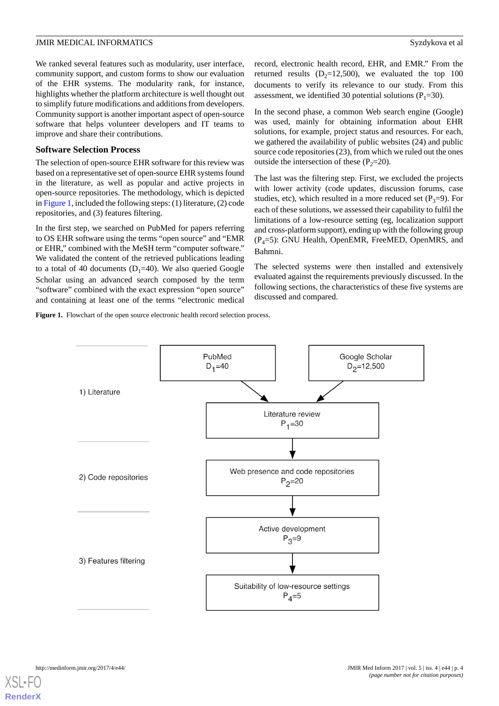We ranked several features such as modularity, user interface, community support, and custom forms to show our evaluation of the EHR systems. The modularity rank, for instance, highlights whether the platform architecture is well thought out to simplify future modifications and additions from developers. Community support is another important aspect of open-source software that helps volunteer developers and IT teams to improve and share their contributions.

#### **Software Selection Process**

The selection of open-source EHR software for this review was based on a representative set of open-source EHR systems found in the literature, as well as popular and active projects in open-source repositories. The methodology, which is depicted in [Figure 1](#page-3-0), included the following steps: (1) literature, (2) code repositories, and (3) features filtering.

In the first step, we searched on PubMed for papers referring to OS EHR software using the terms "open source" and "EMR or EHR," combined with the MeSH term "computer software." We validated the content of the retrieved publications leading to a total of 40 documents  $(D_1=40)$ . We also queried Google Scholar using an advanced search composed by the term "software" combined with the exact expression "open source" and containing at least one of the terms "electronic medical

<span id="page-3-0"></span>Figure 1. Flowchart of the open source electronic health record selection process.

record, electronic health record, EHR, and EMR." From the returned results ( $D_2=12,500$ ), we evaluated the top 100 documents to verify its relevance to our study. From this assessment, we identified 30 potential solutions ( $P_1$ =30).

In the second phase, a common Web search engine (Google) was used, mainly for obtaining information about EHR solutions, for example, project status and resources. For each, we gathered the availability of public websites (24) and public source code repositories (23), from which we ruled out the ones outside the intersection of these  $(P_2=20)$ .

The last was the filtering step. First, we excluded the projects with lower activity (code updates, discussion forums, case studies, etc), which resulted in a more reduced set  $(P_3=9)$ . For each of these solutions, we assessed their capability to fulfil the limitations of a low-resource setting (eg, localization support and cross-platform support), ending up with the following group  $(P_4=5)$ : GNU Health, OpenEMR, FreeMED, OpenMRS, and Bahmni.

The selected systems were then installed and extensively evaluated against the requirements previously discussed. In the following sections, the characteristics of these five systems are discussed and compared.

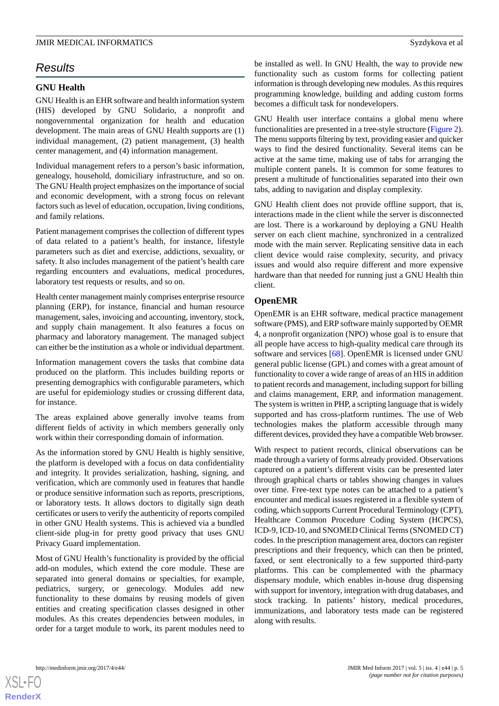## *Results*

#### **GNU Health**

GNU Health is an EHR software and health information system (HIS) developed by GNU Solidario, a nonprofit and nongovernmental organization for health and education development. The main areas of GNU Health supports are (1) individual management, (2) patient management, (3) health center management, and (4) information management.

Individual management refers to a person's basic information, genealogy, household, domiciliary infrastructure, and so on. The GNU Health project emphasizes on the importance of social and economic development, with a strong focus on relevant factors such as level of education, occupation, living conditions, and family relations.

Patient management comprises the collection of different types of data related to a patient's health, for instance, lifestyle parameters such as diet and exercise, addictions, sexuality, or safety. It also includes management of the patient's health care regarding encounters and evaluations, medical procedures, laboratory test requests or results, and so on.

Health center management mainly comprises enterprise resource planning (ERP), for instance, financial and human resource management, sales, invoicing and accounting, inventory, stock, and supply chain management. It also features a focus on pharmacy and laboratory management. The managed subject can either be the institution as a whole or individual department.

Information management covers the tasks that combine data produced on the platform. This includes building reports or presenting demographics with configurable parameters, which are useful for epidemiology studies or crossing different data, for instance.

The areas explained above generally involve teams from different fields of activity in which members generally only work within their corresponding domain of information.

As the information stored by GNU Health is highly sensitive, the platform is developed with a focus on data confidentiality and integrity. It provides serialization, hashing, signing, and verification, which are commonly used in features that handle or produce sensitive information such as reports, prescriptions, or laboratory tests. It allows doctors to digitally sign death certificates or users to verify the authenticity of reports compiled in other GNU Health systems. This is achieved via a bundled client-side plug-in for pretty good privacy that uses GNU Privacy Guard implementation.

Most of GNU Health's functionality is provided by the official add-on modules, which extend the core module. These are separated into general domains or specialties, for example, pediatrics, surgery, or genecology. Modules add new functionality to these domains by reusing models of given entities and creating specification classes designed in other modules. As this creates dependencies between modules, in order for a target module to work, its parent modules need to

be installed as well. In GNU Health, the way to provide new functionality such as custom forms for collecting patient information is through developing new modules. As this requires programming knowledge, building and adding custom forms becomes a difficult task for nondevelopers.

GNU Health user interface contains a global menu where functionalities are presented in a tree-style structure ([Figure 2\)](#page-5-0). The menu supports filtering by text, providing easier and quicker ways to find the desired functionality. Several items can be active at the same time, making use of tabs for arranging the multiple content panels. It is common for some features to present a multitude of functionalities separated into their own tabs, adding to navigation and display complexity.

GNU Health client does not provide offline support, that is, interactions made in the client while the server is disconnected are lost. There is a workaround by deploying a GNU Health server on each client machine, synchronized in a centralized mode with the main server. Replicating sensitive data in each client device would raise complexity, security, and privacy issues and would also require different and more expensive hardware than that needed for running just a GNU Health thin client.

#### **OpenEMR**

OpenEMR is an EHR software, medical practice management software (PMS), and ERP software mainly supported by OEMR 4, a nonprofit organization (NPO) whose goal is to ensure that all people have access to high-quality medical care through its software and services [\[68](#page-14-7)]. OpenEMR is licensed under GNU general public license (GPL) and comes with a great amount of functionality to cover a wide range of areas of an HIS in addition to patient records and management, including support for billing and claims management, ERP, and information management. The system is written in PHP, a scripting language that is widely supported and has cross-platform runtimes. The use of Web technologies makes the platform accessible through many different devices, provided they have a compatible Web browser.

With respect to patient records, clinical observations can be made through a variety of forms already provided. Observations captured on a patient's different visits can be presented later through graphical charts or tables showing changes in values over time. Free-text type notes can be attached to a patient's encounter and medical issues registered in a flexible system of coding, which supports Current Procedural Terminology (CPT), Healthcare Common Procedure Coding System (HCPCS), ICD-9, ICD-10, and SNOMED Clinical Terms (SNOMED CT) codes. In the prescription management area, doctors can register prescriptions and their frequency, which can then be printed, faxed, or sent electronically to a few supported third-party platforms. This can be complemented with the pharmacy dispensary module, which enables in-house drug dispensing with support for inventory, integration with drug databases, and stock tracking. In patients' history, medical procedures, immunizations, and laboratory tests made can be registered along with results.



**[RenderX](http://www.renderx.com/)**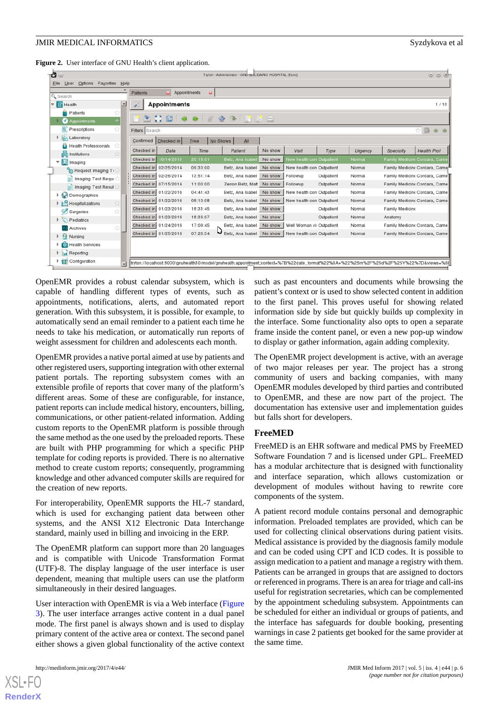<span id="page-5-0"></span>Figure 2. User interface of GNU Health's client application.

| Options Fayorites<br>Help<br>User<br>File<br>Patients<br>Appointments<br>$\mathbf{u}$<br>& Search<br>∸<br>▽ % Health<br><b>Appointments</b><br>Patients<br>ANC   4 +   0 + 4   5 6 8<br>Appointments<br>ŵ<br>$R$ Prescriptions<br>☆  <br>Filters Search<br>$\triangleright$ <b>Laboratory</b><br>Confirmed Checked in<br>No Shows<br>Eree<br>A<br>Health Professionals<br>Checked in<br>No show<br><b>Health Prof</b><br>Date<br>Time<br>Patient<br>Visit<br>Type<br>Specialty<br>Urgency<br><b>Ett</b> Institutions<br>10/14/2013<br>20:16:01<br>Checked in<br>Betz, Ana Isabel<br>No show<br>New health con Outpatient<br>Family Medicine Cordara, Came<br>Normal<br>▽   Imaging | ಕಿ<br>$\circledcirc$ $\times$<br>Tryton - Administrator - GNU SULIDARIO HOSPITAL [Euro] |  |  |  |  |  |  |  |  |  |  |
|------------------------------------------------------------------------------------------------------------------------------------------------------------------------------------------------------------------------------------------------------------------------------------------------------------------------------------------------------------------------------------------------------------------------------------------------------------------------------------------------------------------------------------------------------------------------------------------------------------------------------------------------------------------------------------|-----------------------------------------------------------------------------------------|--|--|--|--|--|--|--|--|--|--|
|                                                                                                                                                                                                                                                                                                                                                                                                                                                                                                                                                                                                                                                                                    |                                                                                         |  |  |  |  |  |  |  |  |  |  |
|                                                                                                                                                                                                                                                                                                                                                                                                                                                                                                                                                                                                                                                                                    |                                                                                         |  |  |  |  |  |  |  |  |  |  |
|                                                                                                                                                                                                                                                                                                                                                                                                                                                                                                                                                                                                                                                                                    | 1/10                                                                                    |  |  |  |  |  |  |  |  |  |  |
|                                                                                                                                                                                                                                                                                                                                                                                                                                                                                                                                                                                                                                                                                    |                                                                                         |  |  |  |  |  |  |  |  |  |  |
|                                                                                                                                                                                                                                                                                                                                                                                                                                                                                                                                                                                                                                                                                    |                                                                                         |  |  |  |  |  |  |  |  |  |  |
|                                                                                                                                                                                                                                                                                                                                                                                                                                                                                                                                                                                                                                                                                    |                                                                                         |  |  |  |  |  |  |  |  |  |  |
|                                                                                                                                                                                                                                                                                                                                                                                                                                                                                                                                                                                                                                                                                    |                                                                                         |  |  |  |  |  |  |  |  |  |  |
|                                                                                                                                                                                                                                                                                                                                                                                                                                                                                                                                                                                                                                                                                    |                                                                                         |  |  |  |  |  |  |  |  |  |  |
|                                                                                                                                                                                                                                                                                                                                                                                                                                                                                                                                                                                                                                                                                    |                                                                                         |  |  |  |  |  |  |  |  |  |  |
| Checked in 02/25/2014<br>09:30:00<br>No show<br>New health con Outpatient<br>Betz, Ana Isabel<br>Normal<br>Family Medicine Cordara, Camer                                                                                                                                                                                                                                                                                                                                                                                                                                                                                                                                          |                                                                                         |  |  |  |  |  |  |  |  |  |  |
| Request Imaging T<br>Checked in 02/26/2014<br>13:51:14<br>Betz, Ana Isabel<br>No show<br>Followup<br>Outpatient<br>Normal<br>Family Medicine Cordara, Came                                                                                                                                                                                                                                                                                                                                                                                                                                                                                                                         |                                                                                         |  |  |  |  |  |  |  |  |  |  |
| Imaging Test Requ-<br>Checked in 07/15/2014<br>11:00:00<br>Zenon Betz, Matt<br>No show<br>Followup<br>Outpatient<br>Normal<br>Family Medicine Cordara, Came                                                                                                                                                                                                                                                                                                                                                                                                                                                                                                                        |                                                                                         |  |  |  |  |  |  |  |  |  |  |
| Imaging Test Resul<br>Checked in 01/22/2016<br>04:41:43<br>New health con Outpatient<br>Betz, Ana Isabel<br>No show<br>Normal<br>Family Medicine Cordara, Came                                                                                                                                                                                                                                                                                                                                                                                                                                                                                                                     |                                                                                         |  |  |  |  |  |  |  |  |  |  |
| Demographics<br>Checked in 01/22/2016<br>08:10:08<br>New health con Outpatient<br>Betz, Ana Isabel<br>No show<br>Normal<br>Family Medicine Cordara, Came                                                                                                                                                                                                                                                                                                                                                                                                                                                                                                                           |                                                                                         |  |  |  |  |  |  |  |  |  |  |
| Hospitalizations<br>ŵ<br>Checked in 01/23/2016<br>18:33:45<br>Betz, Ana Isabel<br>No show<br>Family Medicine<br>Outpatient<br>Normal                                                                                                                                                                                                                                                                                                                                                                                                                                                                                                                                               |                                                                                         |  |  |  |  |  |  |  |  |  |  |
| Surgeries<br>ŵ                                                                                                                                                                                                                                                                                                                                                                                                                                                                                                                                                                                                                                                                     |                                                                                         |  |  |  |  |  |  |  |  |  |  |
| Checked in 01/23/2016<br>18:36:07<br>Betz, Ana Isabel<br>Outpatient<br>Normal<br>No show<br>Anatomy<br>$\triangleright$ Pediatrics                                                                                                                                                                                                                                                                                                                                                                                                                                                                                                                                                 |                                                                                         |  |  |  |  |  |  |  |  |  |  |
| Checked in 01/24/2016<br>17:09:45<br>No show<br>Well Woman vi: Outpatient<br>Family Medicine Cordara, Came<br>Betz, Ana Isabel<br>Normal<br>Archives                                                                                                                                                                                                                                                                                                                                                                                                                                                                                                                               |                                                                                         |  |  |  |  |  |  |  |  |  |  |
| Checked in 01/25/2016<br>07:26:34<br>Betz, Ana Isabel<br>No show<br>New health con Outpatient<br>Family Medicine Cordara, Came<br>Normal<br>医脑<br>Nursing                                                                                                                                                                                                                                                                                                                                                                                                                                                                                                                          |                                                                                         |  |  |  |  |  |  |  |  |  |  |
| $\triangleright$ $\ominus$ Health Services                                                                                                                                                                                                                                                                                                                                                                                                                                                                                                                                                                                                                                         |                                                                                         |  |  |  |  |  |  |  |  |  |  |
| <b>D I</b> <sub>II</sub> Reporting                                                                                                                                                                                                                                                                                                                                                                                                                                                                                                                                                                                                                                                 |                                                                                         |  |  |  |  |  |  |  |  |  |  |
| o Configuration<br>tryton://localhost:8000/gnuhealth30/model/gnuhealth.appointment;context=%7B%22date_format%22%3A+%22%3Em%2F%25d%2F%25Y%22%7D&views=%5{<br>$\mathbf{I}$                                                                                                                                                                                                                                                                                                                                                                                                                                                                                                           |                                                                                         |  |  |  |  |  |  |  |  |  |  |

OpenEMR provides a robust calendar subsystem, which is capable of handling different types of events, such as appointments, notifications, alerts, and automated report generation. With this subsystem, it is possible, for example, to automatically send an email reminder to a patient each time he needs to take his medication, or automatically run reports of weight assessment for children and adolescents each month.

OpenEMR provides a native portal aimed at use by patients and other registered users, supporting integration with other external patient portals. The reporting subsystem comes with an extensible profile of reports that cover many of the platform's different areas. Some of these are configurable, for instance, patient reports can include medical history, encounters, billing, communications, or other patient-related information. Adding custom reports to the OpenEMR platform is possible through the same method as the one used by the preloaded reports. These are built with PHP programming for which a specific PHP template for coding reports is provided. There is no alternative method to create custom reports; consequently, programming knowledge and other advanced computer skills are required for the creation of new reports.

For interoperability, OpenEMR supports the HL-7 standard, which is used for exchanging patient data between other systems, and the ANSI X12 Electronic Data Interchange standard, mainly used in billing and invoicing in the ERP.

The OpenEMR platform can support more than 20 languages and is compatible with Unicode Transformation Format (UTF)-8. The display language of the user interface is user dependent, meaning that multiple users can use the platform simultaneously in their desired languages.

User interaction with OpenEMR is via a Web interface ([Figure](#page-6-0) [3\)](#page-6-0). The user interface arranges active content in a dual panel mode. The first panel is always shown and is used to display primary content of the active area or context. The second panel either shows a given global functionality of the active context

[XSL](http://www.w3.org/Style/XSL)•FO **[RenderX](http://www.renderx.com/)**

such as past encounters and documents while browsing the patient's context or is used to show selected content in addition to the first panel. This proves useful for showing related information side by side but quickly builds up complexity in the interface. Some functionality also opts to open a separate frame inside the content panel, or even a new pop-up window to display or gather information, again adding complexity.

The OpenEMR project development is active, with an average of two major releases per year. The project has a strong community of users and backing companies, with many OpenEMR modules developed by third parties and contributed to OpenEMR, and these are now part of the project. The documentation has extensive user and implementation guides but falls short for developers.

#### **FreeMED**

FreeMED is an EHR software and medical PMS by FreeMED Software Foundation 7 and is licensed under GPL. FreeMED has a modular architecture that is designed with functionality and interface separation, which allows customization or development of modules without having to rewrite core components of the system.

A patient record module contains personal and demographic information. Preloaded templates are provided, which can be used for collecting clinical observations during patient visits. Medical assistance is provided by the diagnosis family module and can be coded using CPT and ICD codes. It is possible to assign medication to a patient and manage a registry with them. Patients can be arranged in groups that are assigned to doctors or referenced in programs. There is an area for triage and call-ins useful for registration secretaries, which can be complemented by the appointment scheduling subsystem. Appointments can be scheduled for either an individual or groups of patients, and the interface has safeguards for double booking, presenting warnings in case 2 patients get booked for the same provider at the same time.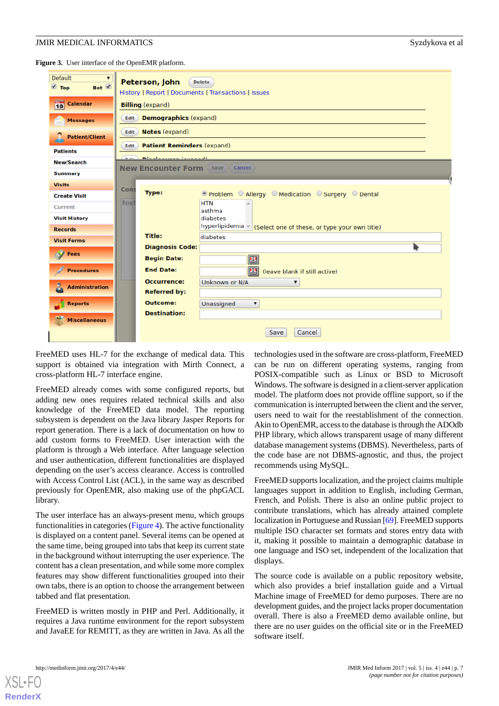<span id="page-6-0"></span>**Figure 3.** User interface of the OpenEMR platform.

| <b>Default</b><br>Bot Ø<br>$\blacksquare$ Top | Peterson, John<br><b>Delete</b><br>History   Report   Documents   Transactions   Issues |  |  |  |  |  |  |  |
|-----------------------------------------------|-----------------------------------------------------------------------------------------|--|--|--|--|--|--|--|
| i <sup>1</sup> 0<br><b>Calendar</b>           | <b>Billing</b> (expand)                                                                 |  |  |  |  |  |  |  |
| <b>Messages</b>                               | <b>Demographics (expand)</b><br><b>Edit</b>                                             |  |  |  |  |  |  |  |
| <b>Patient/Client</b>                         | <b>Notes</b> (expand)<br>Edit                                                           |  |  |  |  |  |  |  |
| <b>Patients</b>                               | <b>Patient Reminders (expand)</b><br><b>Edit</b>                                        |  |  |  |  |  |  |  |
| <b>New/Search</b>                             | Blacksmann Louisvall<br><b>PLANE</b>                                                    |  |  |  |  |  |  |  |
| <b>Summary</b>                                | <b>New Encounter Form</b> (Save) Cancel                                                 |  |  |  |  |  |  |  |
| <b>Visits</b>                                 |                                                                                         |  |  |  |  |  |  |  |
| <b>Create Visit</b>                           | Cons<br><b>Type:</b><br>O Problem O Allergy O Medication O Surgery O Dental             |  |  |  |  |  |  |  |
| Current                                       | Rout<br><b>HTN</b><br>asthma                                                            |  |  |  |  |  |  |  |
| <b>Visit History</b>                          | diabetes                                                                                |  |  |  |  |  |  |  |
| <b>Records</b>                                | hyperlipidemia - (Select one of these, or type your own title)                          |  |  |  |  |  |  |  |
| <b>Visit Forms</b>                            | <b>Title:</b><br>diabetes                                                               |  |  |  |  |  |  |  |
| <b>Fees</b>                                   | <b>Diagnosis Code:</b>                                                                  |  |  |  |  |  |  |  |
|                                               | <b>Begin Date:</b><br>E                                                                 |  |  |  |  |  |  |  |
| <b>Procedures</b>                             | <b>End Date:</b><br>圈<br>(leave blank if still active)                                  |  |  |  |  |  |  |  |
| <b>Administration</b>                         | <b>Occurrence:</b><br>Unknown or N/A<br>▼                                               |  |  |  |  |  |  |  |
|                                               | <b>Referred by:</b>                                                                     |  |  |  |  |  |  |  |
| <b>Reports</b>                                | <b>Outcome:</b><br>Unassigned                                                           |  |  |  |  |  |  |  |
| <b>Miscellaneous</b>                          | <b>Destination:</b>                                                                     |  |  |  |  |  |  |  |
|                                               | Cancel<br>Save                                                                          |  |  |  |  |  |  |  |

FreeMED uses HL-7 for the exchange of medical data. This support is obtained via integration with Mirth Connect, a cross-platform HL-7 interface engine.

FreeMED already comes with some configured reports, but adding new ones requires related technical skills and also knowledge of the FreeMED data model. The reporting subsystem is dependent on the Java library Jasper Reports for report generation. There is a lack of documentation on how to add custom forms to FreeMED. User interaction with the platform is through a Web interface. After language selection and user authentication, different functionalities are displayed depending on the user's access clearance. Access is controlled with Access Control List (ACL), in the same way as described previously for OpenEMR, also making use of the phpGACL library.

The user interface has an always-present menu, which groups functionalities in categories ([Figure 4\)](#page-7-0). The active functionality is displayed on a content panel. Several items can be opened at the same time, being grouped into tabs that keep its current state in the background without interrupting the user experience. The content has a clean presentation, and while some more complex features may show different functionalities grouped into their own tabs, there is an option to choose the arrangement between tabbed and flat presentation.

FreeMED is written mostly in PHP and Perl. Additionally, it requires a Java runtime environment for the report subsystem and JavaEE for REMITT, as they are written in Java. As all the

technologies used in the software are cross-platform, FreeMED can be run on different operating systems, ranging from POSIX-compatible such as Linux or BSD to Microsoft Windows. The software is designed in a client-server application model. The platform does not provide offline support, so if the communication is interrupted between the client and the server, users need to wait for the reestablishment of the connection. Akin to OpenEMR, access to the database is through the ADOdb PHP library, which allows transparent usage of many different database management systems (DBMS). Nevertheless, parts of the code base are not DBMS-agnostic, and thus, the project recommends using MySQL.

FreeMED supports localization, and the project claims multiple languages support in addition to English, including German, French, and Polish. There is also an online public project to contribute translations, which has already attained complete localization in Portuguese and Russian [\[69\]](#page-14-8). FreeMED supports multiple ISO character set formats and stores entry data with it, making it possible to maintain a demographic database in one language and ISO set, independent of the localization that displays.

The source code is available on a public repository website, which also provides a brief installation guide and a Virtual Machine image of FreeMED for demo purposes. There are no development guides, and the project lacks proper documentation overall. There is also a FreeMED demo available online, but there are no user guides on the official site or in the FreeMED software itself.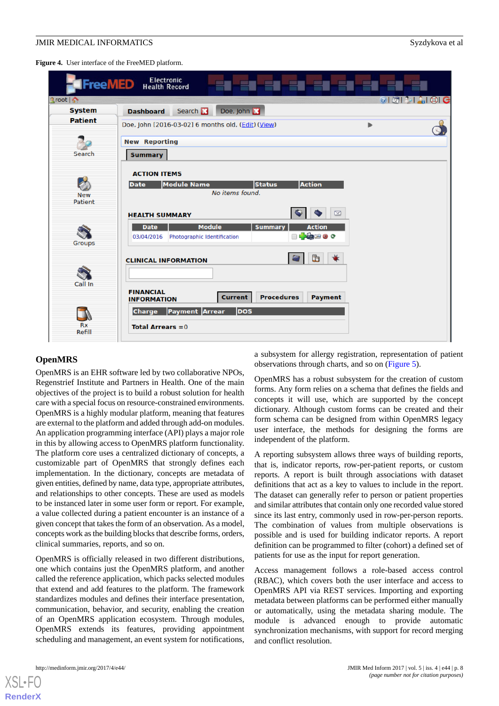<span id="page-7-0"></span>**Figure 4.** User interface of the FreeMED platform.



#### **OpenMRS**

OpenMRS is an EHR software led by two collaborative NPOs, Regenstrief Institute and Partners in Health. One of the main objectives of the project is to build a robust solution for health care with a special focus on resource-constrained environments. OpenMRS is a highly modular platform, meaning that features are external to the platform and added through add-on modules. An application programming interface (API) plays a major role in this by allowing access to OpenMRS platform functionality. The platform core uses a centralized dictionary of concepts, a customizable part of OpenMRS that strongly defines each implementation. In the dictionary, concepts are metadata of given entities, defined by name, data type, appropriate attributes, and relationships to other concepts. These are used as models to be instanced later in some user form or report. For example, a value collected during a patient encounter is an instance of a given concept that takes the form of an observation. As a model, concepts work as the building blocks that describe forms, orders, clinical summaries, reports, and so on.

OpenMRS is officially released in two different distributions, one which contains just the OpenMRS platform, and another called the reference application, which packs selected modules that extend and add features to the platform. The framework standardizes modules and defines their interface presentation, communication, behavior, and security, enabling the creation of an OpenMRS application ecosystem. Through modules, OpenMRS extends its features, providing appointment scheduling and management, an event system for notifications,

a subsystem for allergy registration, representation of patient observations through charts, and so on [\(Figure 5\)](#page-8-0).

OpenMRS has a robust subsystem for the creation of custom forms. Any form relies on a schema that defines the fields and concepts it will use, which are supported by the concept dictionary. Although custom forms can be created and their form schema can be designed from within OpenMRS legacy user interface, the methods for designing the forms are independent of the platform.

A reporting subsystem allows three ways of building reports, that is, indicator reports, row-per-patient reports, or custom reports. A report is built through associations with dataset definitions that act as a key to values to include in the report. The dataset can generally refer to person or patient properties and similar attributes that contain only one recorded value stored since its last entry, commonly used in row-per-person reports. The combination of values from multiple observations is possible and is used for building indicator reports. A report definition can be programmed to filter (cohort) a defined set of patients for use as the input for report generation.

Access management follows a role-based access control (RBAC), which covers both the user interface and access to OpenMRS API via REST services. Importing and exporting metadata between platforms can be performed either manually or automatically, using the metadata sharing module. The module is advanced enough to provide automatic synchronization mechanisms, with support for record merging and conflict resolution.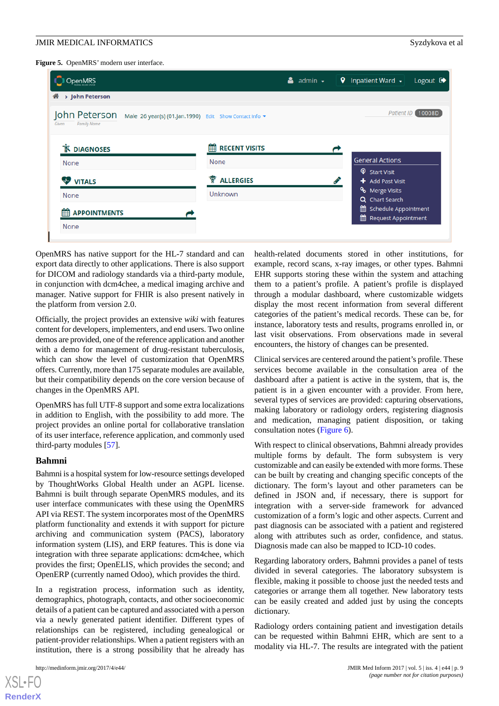<span id="page-8-0"></span>**Figure 5.** OpenMRS' modern user interface.



OpenMRS has native support for the HL-7 standard and can export data directly to other applications. There is also support for DICOM and radiology standards via a third-party module, in conjunction with dcm4chee, a medical imaging archive and manager. Native support for FHIR is also present natively in the platform from version 2.0.

Officially, the project provides an extensive *wiki* with features content for developers, implementers, and end users. Two online demos are provided, one of the reference application and another with a demo for management of drug-resistant tuberculosis, which can show the level of customization that OpenMRS offers. Currently, more than 175 separate modules are available, but their compatibility depends on the core version because of changes in the OpenMRS API.

OpenMRS has full UTF-8 support and some extra localizations in addition to English, with the possibility to add more. The project provides an online portal for collaborative translation of its user interface, reference application, and commonly used third-party modules [[57\]](#page-13-12).

#### **Bahmni**

Bahmni is a hospital system for low-resource settings developed by ThoughtWorks Global Health under an AGPL license. Bahmni is built through separate OpenMRS modules, and its user interface communicates with these using the OpenMRS API via REST. The system incorporates most of the OpenMRS platform functionality and extends it with support for picture archiving and communication system (PACS), laboratory information system (LIS), and ERP features. This is done via integration with three separate applications: dcm4chee, which provides the first; OpenELIS, which provides the second; and OpenERP (currently named Odoo), which provides the third.

In a registration process, information such as identity, demographics, photograph, contacts, and other socioeconomic details of a patient can be captured and associated with a person via a newly generated patient identifier. Different types of relationships can be registered, including genealogical or patient-provider relationships. When a patient registers with an institution, there is a strong possibility that he already has

health-related documents stored in other institutions, for example, record scans, x-ray images, or other types. Bahmni EHR supports storing these within the system and attaching them to a patient's profile. A patient's profile is displayed through a modular dashboard, where customizable widgets display the most recent information from several different categories of the patient's medical records. These can be, for instance, laboratory tests and results, programs enrolled in, or last visit observations. From observations made in several encounters, the history of changes can be presented.

Clinical services are centered around the patient's profile. These services become available in the consultation area of the dashboard after a patient is active in the system, that is, the patient is in a given encounter with a provider. From here, several types of services are provided: capturing observations, making laboratory or radiology orders, registering diagnosis and medication, managing patient disposition, or taking consultation notes ([Figure 6\)](#page-9-0).

With respect to clinical observations, Bahmni already provides multiple forms by default. The form subsystem is very customizable and can easily be extended with more forms. These can be built by creating and changing specific concepts of the dictionary. The form's layout and other parameters can be defined in JSON and, if necessary, there is support for integration with a server-side framework for advanced customization of a form's logic and other aspects. Current and past diagnosis can be associated with a patient and registered along with attributes such as order, confidence, and status. Diagnosis made can also be mapped to ICD-10 codes.

Regarding laboratory orders, Bahmni provides a panel of tests divided in several categories. The laboratory subsystem is flexible, making it possible to choose just the needed tests and categories or arrange them all together. New laboratory tests can be easily created and added just by using the concepts dictionary.

Radiology orders containing patient and investigation details can be requested within Bahmni EHR, which are sent to a modality via HL-7. The results are integrated with the patient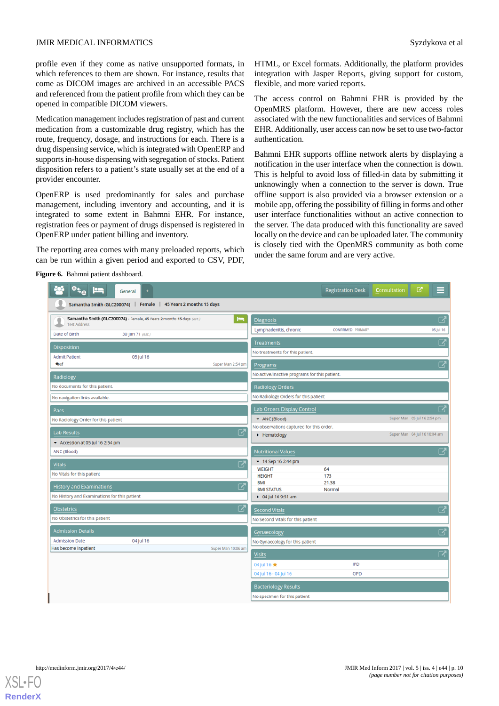profile even if they come as native unsupported formats, in which references to them are shown. For instance, results that come as DICOM images are archived in an accessible PACS and referenced from the patient profile from which they can be opened in compatible DICOM viewers.

Medication management includes registration of past and current medication from a customizable drug registry, which has the route, frequency, dosage, and instructions for each. There is a drug dispensing service, which is integrated with OpenERP and supports in-house dispensing with segregation of stocks. Patient disposition refers to a patient's state usually set at the end of a provider encounter.

OpenERP is used predominantly for sales and purchase management, including inventory and accounting, and it is integrated to some extent in Bahmni EHR. For instance, registration fees or payment of drugs dispensed is registered in OpenERP under patient billing and inventory.

<span id="page-9-0"></span>The reporting area comes with many preloaded reports, which can be run within a given period and exported to CSV, PDF,

HTML, or Excel formats. Additionally, the platform provides integration with Jasper Reports, giving support for custom, flexible, and more varied reports.

The access control on Bahmni EHR is provided by the OpenMRS platform. However, there are new access roles associated with the new functionalities and services of Bahmni EHR. Additionally, user access can now be set to use two-factor authentication.

Bahmni EHR supports offline network alerts by displaying a notification in the user interface when the connection is down. This is helpful to avoid loss of filled-in data by submitting it unknowingly when a connection to the server is down. True offline support is also provided via a browser extension or a mobile app, offering the possibility of filling in forms and other user interface functionalities without an active connection to the server. The data produced with this functionality are saved locally on the device and can be uploaded later. The community is closely tied with the OpenMRS community as both come under the same forum and are very active.

**Figure 6.** Bahmni patient dashboard.

| $0_{5\rho}$<br>$=$<br>General                                                                       | ఆ<br><b>Registration Desk</b><br><b>Consultation</b><br>≡        |  |  |  |  |  |  |  |  |  |
|-----------------------------------------------------------------------------------------------------|------------------------------------------------------------------|--|--|--|--|--|--|--|--|--|
| Samantha Smith (GLC200074)  <br>Female  <br>45 Years 2 months 15 days                               |                                                                  |  |  |  |  |  |  |  |  |  |
| Samantha Smith (GLC200074) - Female, 45 Years 2 months 15 days (est.)<br>دعا<br><b>Test Address</b> | 2<br><b>Diagnosis</b>                                            |  |  |  |  |  |  |  |  |  |
| Date of Birth<br>30 Jun 71 (est.)                                                                   | Lymphadenitis, chronic<br>CONFIRMED PRIMARY<br>05 Jul 16         |  |  |  |  |  |  |  |  |  |
|                                                                                                     | 2<br><b>Treatments</b>                                           |  |  |  |  |  |  |  |  |  |
| <b>Disposition</b><br><b>Admit Patient</b><br>05 Jul 16                                             | No treatments for this patient.                                  |  |  |  |  |  |  |  |  |  |
| <b>Busf</b><br>Super Man 2:54 pm                                                                    | $\overline{\mathbf{C}}$<br>Programs                              |  |  |  |  |  |  |  |  |  |
| Radiology                                                                                           | No active/inactive programs for this patient.                    |  |  |  |  |  |  |  |  |  |
| No documents for this patient.                                                                      | <b>Radiology Orders</b>                                          |  |  |  |  |  |  |  |  |  |
| No navigation links available.                                                                      | No Radiology Orders for this patient                             |  |  |  |  |  |  |  |  |  |
| Pacs                                                                                                | び<br>Lab Orders Display Control                                  |  |  |  |  |  |  |  |  |  |
| No Radiology Order for this patient                                                                 | Super Man 05 Jul 16 2:54 pm<br>$\blacktriangleright$ ANC (Blood) |  |  |  |  |  |  |  |  |  |
| 2<br><b>Lab Results</b>                                                                             | No observations captured for this order.                         |  |  |  |  |  |  |  |  |  |
| Accession at 05 Jul 16 2:54 pm                                                                      | Super Man 04 Jul 16 10:04 am<br>• Hematology                     |  |  |  |  |  |  |  |  |  |
| ANC (Blood)                                                                                         | $\mathbf{Z}$<br><b>Nutritional Values</b>                        |  |  |  |  |  |  |  |  |  |
| 2<br><b>Vitals</b>                                                                                  | $-14$ Sep 16 2:44 pm                                             |  |  |  |  |  |  |  |  |  |
| No Vitals for this patient                                                                          | 64<br><b>WEIGHT</b><br><b>HEIGHT</b><br>173                      |  |  |  |  |  |  |  |  |  |
| $\mathbf{Z}$                                                                                        | 21.38<br><b>BMI</b>                                              |  |  |  |  |  |  |  |  |  |
| <b>History and Examinations</b><br>No History and Examinations for this patient                     | <b>BMI STATUS</b><br>Normal                                      |  |  |  |  |  |  |  |  |  |
| ▶ 04 Jul 16 9:51 am                                                                                 |                                                                  |  |  |  |  |  |  |  |  |  |
| M<br><b>Obstetrics</b>                                                                              | 2<br><b>Second Vitals</b>                                        |  |  |  |  |  |  |  |  |  |
| No Obstetrics for this patient                                                                      | No Second Vitals for this patient                                |  |  |  |  |  |  |  |  |  |
| <b>Admission Details</b>                                                                            | $\boldsymbol{\Sigma}$<br>Gynaecology                             |  |  |  |  |  |  |  |  |  |
| <b>Admission Date</b><br>04 Jul 16                                                                  | No Gynaecology for this patient                                  |  |  |  |  |  |  |  |  |  |
| Has become Inpatient<br>Super Man 10:06 am                                                          | $\overline{\mathbf{C}}$<br><b>Visits</b>                         |  |  |  |  |  |  |  |  |  |
|                                                                                                     | <b>IPD</b><br>04 Jul 16 ★                                        |  |  |  |  |  |  |  |  |  |
|                                                                                                     | OPD<br>04 Jul 16 - 04 Jul 16                                     |  |  |  |  |  |  |  |  |  |
|                                                                                                     | <b>Bacteriology Results</b>                                      |  |  |  |  |  |  |  |  |  |
|                                                                                                     | No specimen for this patient                                     |  |  |  |  |  |  |  |  |  |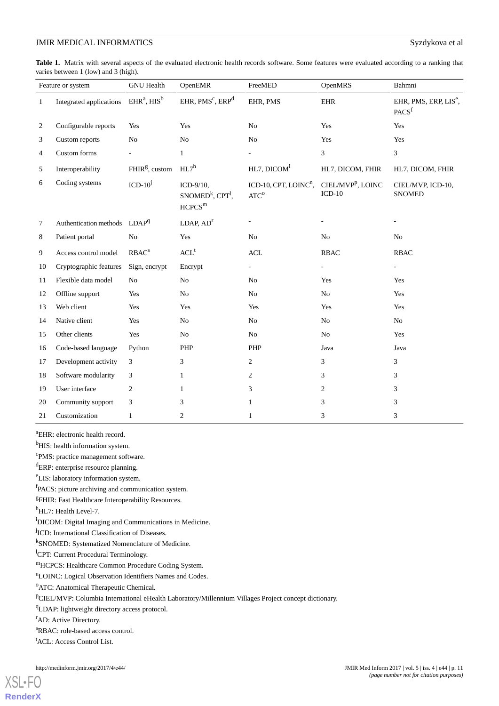<span id="page-10-0"></span>**Table 1.** Matrix with several aspects of the evaluated electronic health records software. Some features were evaluated according to a ranking that varies between 1 (low) and 3 (high).

| Feature or system |                                          | <b>GNU</b> Health          | OpenEMR                                                                     | FreeMED                                                      | OpenMRS                                   | Bahmni                                                 |
|-------------------|------------------------------------------|----------------------------|-----------------------------------------------------------------------------|--------------------------------------------------------------|-------------------------------------------|--------------------------------------------------------|
| $\mathbf{1}$      | Integrated applications                  | $EHRa$ , $HISb$            | EHR, PMS <sup>c</sup> , ERP <sup>d</sup>                                    | EHR, PMS                                                     | <b>EHR</b>                                | EHR, PMS, ERP, LIS <sup>e</sup> ,<br>PACS <sup>f</sup> |
| 2                 | Configurable reports                     | Yes                        | Yes                                                                         | No                                                           | Yes                                       | Yes                                                    |
| 3                 | Custom reports                           | N <sub>o</sub>             | N <sub>o</sub>                                                              | No                                                           | Yes                                       | Yes                                                    |
| 4                 | Custom forms                             |                            | $\mathbf{1}$                                                                |                                                              | 3                                         | 3                                                      |
| 5                 | Interoperability                         | FHIR <sup>g</sup> , custom | $HL7^h$                                                                     | HL7, DICOM <sup>i</sup>                                      | HL7, DICOM, FHIR                          | HL7, DICOM, FHIR                                       |
| 6                 | Coding systems                           | $ICD-10^j$                 | ICD-9/10,<br>SNOMED <sup>k</sup> , CPT <sup>1</sup> ,<br>HCPCS <sup>m</sup> | ICD-10, CPT, LOINC <sup>n</sup> ,<br>$\text{ATC}^{\text{o}}$ | CIEL/MVP <sup>p</sup> , LOINC<br>$ICD-10$ | CIEL/MVP, ICD-10,<br><b>SNOMED</b>                     |
| 7                 | Authentication methods LDAP <sup>q</sup> |                            | LDAP, AD <sup>r</sup>                                                       |                                                              |                                           |                                                        |
| 8                 | Patient portal                           | N <sub>o</sub>             | Yes                                                                         | N <sub>o</sub>                                               | N <sub>o</sub>                            | N <sub>o</sub>                                         |
| 9                 | Access control model                     | RBAC <sup>s</sup>          | ${ACL}^t$                                                                   | $\mbox{\rm ACL}$                                             | <b>RBAC</b>                               | <b>RBAC</b>                                            |
| 10                | Cryptographic features                   | Sign, encrypt              | Encrypt                                                                     |                                                              | $\sim$                                    |                                                        |
| 11                | Flexible data model                      | N <sub>o</sub>             | No                                                                          | N <sub>o</sub>                                               | Yes                                       | Yes                                                    |
| 12                | Offline support                          | Yes                        | No                                                                          | No                                                           | No                                        | Yes                                                    |
| 13                | Web client                               | Yes                        | Yes                                                                         | Yes                                                          | Yes                                       | Yes                                                    |
| 14                | Native client                            | Yes                        | No                                                                          | No                                                           | No                                        | No                                                     |
| 15                | Other clients                            | Yes                        | No                                                                          | No                                                           | N <sub>o</sub>                            | Yes                                                    |
| 16                | Code-based language                      | Python                     | PHP                                                                         | PHP                                                          | Java                                      | Java                                                   |
| 17                | Development activity                     | 3                          | 3                                                                           | $\overline{c}$                                               | 3                                         | 3                                                      |
| 18                | Software modularity                      | 3                          | $\mathbf{1}$                                                                | $\overline{c}$                                               | 3                                         | 3                                                      |
| 19                | User interface                           | $\overline{c}$             | $\mathbf{1}$                                                                | 3                                                            | $\overline{c}$                            | 3                                                      |
| 20                | Community support                        | 3                          | 3                                                                           | $\mathbf{1}$                                                 | 3                                         | 3                                                      |
| 21                | Customization                            | $\mathbf{1}$               | $\overline{c}$                                                              | $\mathbf{1}$                                                 | 3                                         | 3                                                      |

<sup>a</sup>EHR: electronic health record.

<sup>b</sup>HIS: health information system.

<sup>c</sup>PMS: practice management software.

<sup>d</sup>ERP: enterprise resource planning.

<sup>e</sup>LIS: laboratory information system.

fPACS: picture archiving and communication system.

<sup>g</sup>FHIR: Fast Healthcare Interoperability Resources.

h<sub>HL7</sub>: Health Level-7.

<sup>i</sup>DICOM: Digital Imaging and Communications in Medicine.

<sup>j</sup>ICD: International Classification of Diseases.

k SNOMED: Systematized Nomenclature of Medicine.

<sup>1</sup>CPT: Current Procedural Terminology.

<sup>m</sup>HCPCS: Healthcare Common Procedure Coding System.

<sup>n</sup>LOINC: Logical Observation Identifiers Names and Codes.

<sup>o</sup>ATC: Anatomical Therapeutic Chemical.

<sup>p</sup>CIEL/MVP: Columbia International eHealth Laboratory/Millennium Villages Project concept dictionary.

<sup>q</sup>LDAP: lightweight directory access protocol.

<sup>r</sup>AD: Active Directory.

[XSL](http://www.w3.org/Style/XSL)•FO **[RenderX](http://www.renderx.com/)**

<sup>s</sup>RBAC: role-based access control.

<sup>t</sup>ACL: Access Control List.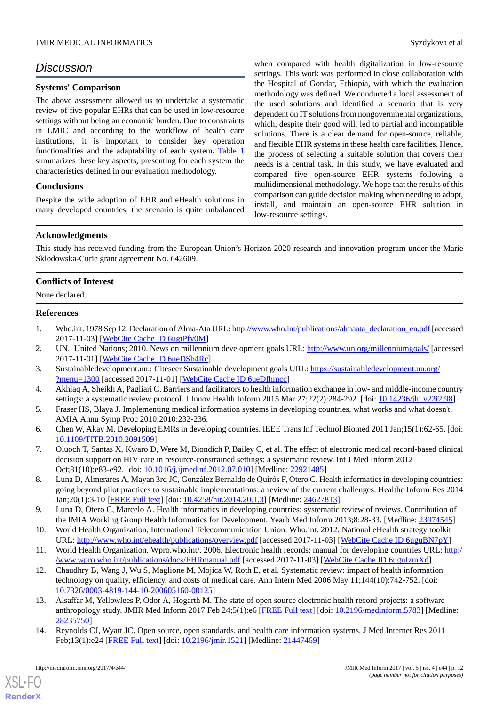## *Discussion*

#### **Systems' Comparison**

The above assessment allowed us to undertake a systematic review of five popular EHRs that can be used in low-resource settings without being an economic burden. Due to constraints in LMIC and according to the workflow of health care institutions, it is important to consider key operation functionalities and the adaptability of each system. [Table 1](#page-10-0) summarizes these key aspects, presenting for each system the characteristics defined in our evaluation methodology.

#### **Conclusions**

Despite the wide adoption of EHR and eHealth solutions in many developed countries, the scenario is quite unbalanced when compared with health digitalization in low-resource settings. This work was performed in close collaboration with the Hospital of Gondar, Ethiopia, with which the evaluation methodology was defined. We conducted a local assessment of the used solutions and identified a scenario that is very dependent on IT solutions from nongovernmental organizations, which, despite their good will, led to partial and incompatible solutions. There is a clear demand for open-source, reliable, and flexible EHR systems in these health care facilities. Hence, the process of selecting a suitable solution that covers their needs is a central task. In this study, we have evaluated and compared five open-source EHR systems following a multidimensional methodology. We hope that the results of this comparison can guide decision making when needing to adopt, install, and maintain an open-source EHR solution in low-resource settings.

#### **Acknowledgments**

This study has received funding from the European Union's Horizon 2020 research and innovation program under the Marie Sklodowska-Curie grant agreement No. 642609.

#### **Conflicts of Interest**

<span id="page-11-0"></span>None declared.

#### **References**

- <span id="page-11-1"></span>1. Who.int. 1978 Sep 12. Declaration of Alma-Ata URL: [http://www.who.int/publications/almaata\\_declaration\\_en.pdf](http://www.who.int/publications/almaata_declaration_en.pdf) [accessed] 2017-11-03] [\[WebCite Cache ID 6ugtPfy0M\]](http://www.webcitation.org/

                                6ugtPfy0M)
- <span id="page-11-2"></span>2. UN.: United Nations; 2010. News on millennium development goals URL:<http://www.un.org/millenniumgoals/> [accessed] 2017-11-01] [\[WebCite Cache ID 6ueDSb4Rc](http://www.webcitation.org/

                                6ueDSb4Rc)]
- <span id="page-11-9"></span>3. Sustainabledevelopment.un.: Citeseer Sustainable development goals URL: [https://sustainabledevelopment.un.org/](https://sustainabledevelopment.un.org/?menu=1300) [?menu=1300](https://sustainabledevelopment.un.org/?menu=1300) [accessed 2017-11-01] [[WebCite Cache ID 6ueDfhmcc](http://www.webcitation.org/

                                6ueDfhmcc)]
- 4. Akhlaq A, Sheikh A, Pagliari C. Barriers and facilitators to health information exchange in low- and middle-income country settings: a systematic review protocol. J Innov Health Inform 2015 Mar 27;22(2):284-292. [doi: [10.14236/jhi.v22i2.98](http://dx.doi.org/10.14236/jhi.v22i2.98)]
- 5. Fraser HS, Blaya J. Implementing medical information systems in developing countries, what works and what doesn't. AMIA Annu Symp Proc 2010;2010:232-236.
- 6. Chen W, Akay M. Developing EMRs in developing countries. IEEE Trans Inf Technol Biomed 2011 Jan;15(1):62-65. [doi: [10.1109/TITB.2010.2091509](http://dx.doi.org/10.1109/TITB.2010.2091509)]
- <span id="page-11-3"></span>7. Oluoch T, Santas X, Kwaro D, Were M, Biondich P, Bailey C, et al. The effect of electronic medical record-based clinical decision support on HIV care in resource-constrained settings: a systematic review. Int J Med Inform 2012 Oct;81(10):e83-e92. [doi: [10.1016/j.ijmedinf.2012.07.010\]](http://dx.doi.org/10.1016/j.ijmedinf.2012.07.010) [Medline: [22921485](http://www.ncbi.nlm.nih.gov/entrez/query.fcgi?cmd=Retrieve&db=PubMed&list_uids=22921485&dopt=Abstract)]
- <span id="page-11-4"></span>8. Luna D, Almerares A, Mayan 3rd JC, González Bernaldo de Quirós F, Otero C. Health informatics in developing countries: going beyond pilot practices to sustainable implementations: a review of the current challenges. Healthc Inform Res 2014 Jan;20(1):3-10 [\[FREE Full text\]](http://www.e-hir.org/journal/viewJournal.html?year=2014&vol=020&num=01&page=3) [doi: [10.4258/hir.2014.20.1.3\]](http://dx.doi.org/10.4258/hir.2014.20.1.3) [Medline: [24627813](http://www.ncbi.nlm.nih.gov/entrez/query.fcgi?cmd=Retrieve&db=PubMed&list_uids=24627813&dopt=Abstract)]
- <span id="page-11-6"></span><span id="page-11-5"></span>9. Luna D, Otero C, Marcelo A. Health informatics in developing countries: systematic review of reviews. Contribution of the IMIA Working Group Health Informatics for Development. Yearb Med Inform 2013;8:28-33. [Medline: [23974545](http://www.ncbi.nlm.nih.gov/entrez/query.fcgi?cmd=Retrieve&db=PubMed&list_uids=23974545&dopt=Abstract)]
- 10. World Health Organization, International Telecommunication Union. Who.int. 2012. National eHealth strategy toolkit URL: <http://www.who.int/ehealth/publications/overview.pdf> [accessed 2017-11-03] [[WebCite Cache ID 6uguBN7pY\]](http://www.webcitation.org/

                                6uguBN7pY)
- <span id="page-11-8"></span>11. World Health Organization. Wpro.who.int/. 2006. Electronic health records: manual for developing countries URL: [http:/](http://www.wpro.who.int/publications/docs/EHRmanual.pdf) [/www.wpro.who.int/publications/docs/EHRmanual.pdf](http://www.wpro.who.int/publications/docs/EHRmanual.pdf) [accessed 2017-11-03] [\[WebCite Cache ID 6uguIzmXd\]](http://www.webcitation.org/

                                6uguIzmXd)
- <span id="page-11-7"></span>12. Chaudhry B, Wang J, Wu S, Maglione M, Mojica W, Roth E, et al. Systematic review: impact of health information technology on quality, efficiency, and costs of medical care. Ann Intern Med 2006 May 11;144(10):742-752. [doi: [10.7326/0003-4819-144-10-200605160-00125](http://dx.doi.org/10.7326/0003-4819-144-10-200605160-00125)]
- 13. Alsaffar M, Yellowlees P, Odor A, Hogarth M. The state of open source electronic health record projects: a software anthropology study. JMIR Med Inform 2017 Feb 24;5(1):e6 [\[FREE Full text\]](http://medinform.jmir.org/2017/1/e6/) [doi: [10.2196/medinform.5783](http://dx.doi.org/10.2196/medinform.5783)] [Medline: [28235750](http://www.ncbi.nlm.nih.gov/entrez/query.fcgi?cmd=Retrieve&db=PubMed&list_uids=28235750&dopt=Abstract)]
- 14. Reynolds CJ, Wyatt JC. Open source, open standards, and health care information systems. J Med Internet Res 2011 Feb;13(1):e24 [\[FREE Full text](http://www.jmir.org/2011/1/e24/)] [doi: [10.2196/jmir.1521](http://dx.doi.org/10.2196/jmir.1521)] [Medline: [21447469](http://www.ncbi.nlm.nih.gov/entrez/query.fcgi?cmd=Retrieve&db=PubMed&list_uids=21447469&dopt=Abstract)]

 $XS$  • FO **[RenderX](http://www.renderx.com/)**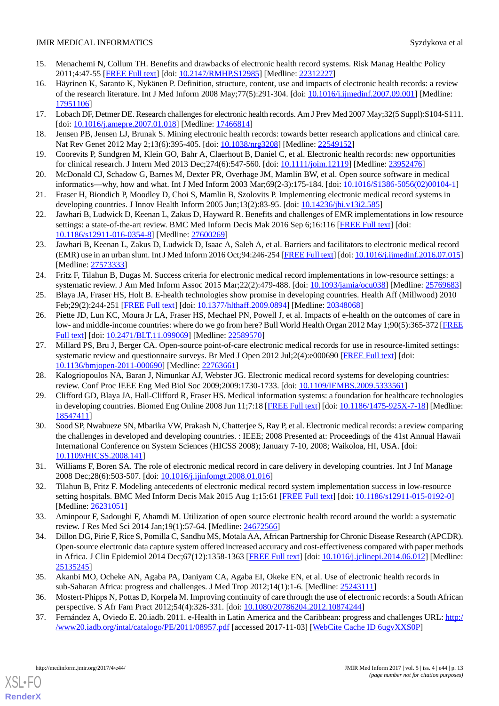- <span id="page-12-0"></span>15. Menachemi N, Collum TH. Benefits and drawbacks of electronic health record systems. Risk Manag Healthc Policy 2011;4:47-55 [\[FREE Full text\]](https://dx.doi.org/10.2147/RMHP.S12985) [doi: [10.2147/RMHP.S12985\]](http://dx.doi.org/10.2147/RMHP.S12985) [Medline: [22312227](http://www.ncbi.nlm.nih.gov/entrez/query.fcgi?cmd=Retrieve&db=PubMed&list_uids=22312227&dopt=Abstract)]
- 16. Häyrinen K, Saranto K, Nykänen P. Definition, structure, content, use and impacts of electronic health records: a review of the research literature. Int J Med Inform 2008 May;77(5):291-304. [doi: [10.1016/j.ijmedinf.2007.09.001\]](http://dx.doi.org/10.1016/j.ijmedinf.2007.09.001) [Medline: [17951106](http://www.ncbi.nlm.nih.gov/entrez/query.fcgi?cmd=Retrieve&db=PubMed&list_uids=17951106&dopt=Abstract)]
- 17. Lobach DF, Detmer DE. Research challenges for electronic health records. Am J Prev Med 2007 May;32(5 Suppl):S104-S111. [doi: [10.1016/j.amepre.2007.01.018](http://dx.doi.org/10.1016/j.amepre.2007.01.018)] [Medline: [17466814](http://www.ncbi.nlm.nih.gov/entrez/query.fcgi?cmd=Retrieve&db=PubMed&list_uids=17466814&dopt=Abstract)]
- <span id="page-12-1"></span>18. Jensen PB, Jensen LJ, Brunak S. Mining electronic health records: towards better research applications and clinical care. Nat Rev Genet 2012 May 2;13(6):395-405. [doi: [10.1038/nrg3208\]](http://dx.doi.org/10.1038/nrg3208) [Medline: [22549152\]](http://www.ncbi.nlm.nih.gov/entrez/query.fcgi?cmd=Retrieve&db=PubMed&list_uids=22549152&dopt=Abstract)
- <span id="page-12-2"></span>19. Coorevits P, Sundgren M, Klein GO, Bahr A, Claerhout B, Daniel C, et al. Electronic health records: new opportunities for clinical research. J Intern Med 2013 Dec;274(6):547-560. [doi: [10.1111/joim.12119](http://dx.doi.org/10.1111/joim.12119)] [Medline: [23952476\]](http://www.ncbi.nlm.nih.gov/entrez/query.fcgi?cmd=Retrieve&db=PubMed&list_uids=23952476&dopt=Abstract)
- <span id="page-12-3"></span>20. McDonald CJ, Schadow G, Barnes M, Dexter PR, Overhage JM, Mamlin BW, et al. Open source software in medical informatics—why, how and what. Int J Med Inform 2003 Mar;69(2-3):175-184. [doi: [10.1016/S1386-5056\(02\)00104-1](http://dx.doi.org/10.1016/S1386-5056(02)00104-1)]
- <span id="page-12-4"></span>21. Fraser H, Biondich P, Moodley D, Choi S, Mamlin B, Szolovits P. Implementing electronic medical record systems in developing countries. J Innov Health Inform 2005 Jun;13(2):83-95. [doi: [10.14236/jhi.v13i2.585](http://dx.doi.org/10.14236/jhi.v13i2.585)]
- 22. Jawhari B, Ludwick D, Keenan L, Zakus D, Hayward R. Benefits and challenges of EMR implementations in low resource settings: a state-of-the-art review. BMC Med Inform Decis Mak 2016 Sep 6;16:116 [[FREE Full text](https://bmcmedinformdecismak.biomedcentral.com/articles/10.1186/s12911-016-0354-8)] [doi: [10.1186/s12911-016-0354-8\]](http://dx.doi.org/10.1186/s12911-016-0354-8) [Medline: [27600269](http://www.ncbi.nlm.nih.gov/entrez/query.fcgi?cmd=Retrieve&db=PubMed&list_uids=27600269&dopt=Abstract)]
- <span id="page-12-7"></span>23. Jawhari B, Keenan L, Zakus D, Ludwick D, Isaac A, Saleh A, et al. Barriers and facilitators to electronic medical record (EMR) use in an urban slum. Int J Med Inform 2016 Oct;94:246-254 [\[FREE Full text\]](https://linkinghub.elsevier.com/retrieve/pii/S1386-5056(16)30176-9) [doi: [10.1016/j.ijmedinf.2016.07.015\]](http://dx.doi.org/10.1016/j.ijmedinf.2016.07.015) [Medline: [27573333](http://www.ncbi.nlm.nih.gov/entrez/query.fcgi?cmd=Retrieve&db=PubMed&list_uids=27573333&dopt=Abstract)]
- 24. Fritz F, Tilahun B, Dugas M. Success criteria for electronic medical record implementations in low-resource settings: a systematic review. J Am Med Inform Assoc 2015 Mar;22(2):479-488. [doi: [10.1093/jamia/ocu038](http://dx.doi.org/10.1093/jamia/ocu038)] [Medline: [25769683\]](http://www.ncbi.nlm.nih.gov/entrez/query.fcgi?cmd=Retrieve&db=PubMed&list_uids=25769683&dopt=Abstract)
- 25. Blaya JA, Fraser HS, Holt B. E-health technologies show promise in developing countries. Health Aff (Millwood) 2010 Feb;29(2):244-251 [[FREE Full text](http://content.healthaffairs.org/cgi/pmidlookup?view=long&pmid=20348068)] [doi: [10.1377/hlthaff.2009.0894](http://dx.doi.org/10.1377/hlthaff.2009.0894)] [Medline: [20348068](http://www.ncbi.nlm.nih.gov/entrez/query.fcgi?cmd=Retrieve&db=PubMed&list_uids=20348068&dopt=Abstract)]
- 26. Piette JD, Lun KC, Moura Jr LA, Fraser HS, Mechael PN, Powell J, et al. Impacts of e-health on the outcomes of care in low- and middle-income countries: where do we go from here? Bull World Health Organ 2012 May 1;90(5):365-372 [\[FREE](http://europepmc.org/abstract/MED/22589570) [Full text\]](http://europepmc.org/abstract/MED/22589570) [doi: [10.2471/BLT.11.099069\]](http://dx.doi.org/10.2471/BLT.11.099069) [Medline: [22589570](http://www.ncbi.nlm.nih.gov/entrez/query.fcgi?cmd=Retrieve&db=PubMed&list_uids=22589570&dopt=Abstract)]
- 27. Millard PS, Bru J, Berger CA. Open-source point-of-care electronic medical records for use in resource-limited settings: systematic review and questionnaire surveys. Br Med J Open 2012 Jul;2(4):e000690 [[FREE Full text\]](http://bmjopen.bmj.com/cgi/pmidlookup?view=long&pmid=22763661) [doi: [10.1136/bmjopen-2011-000690\]](http://dx.doi.org/10.1136/bmjopen-2011-000690) [Medline: [22763661](http://www.ncbi.nlm.nih.gov/entrez/query.fcgi?cmd=Retrieve&db=PubMed&list_uids=22763661&dopt=Abstract)]
- 28. Kalogriopoulos NA, Baran J, Nimunkar AJ, Webster JG. Electronic medical record systems for developing countries: review. Conf Proc IEEE Eng Med Biol Soc 2009;2009:1730-1733. [doi: [10.1109/IEMBS.2009.5333561\]](http://dx.doi.org/10.1109/IEMBS.2009.5333561)
- 29. Clifford GD, Blaya JA, Hall-Clifford R, Fraser HS. Medical information systems: a foundation for healthcare technologies in developing countries. Biomed Eng Online 2008 Jun 11;7:18 [\[FREE Full text\]](https://biomedical-engineering-online.biomedcentral.com/articles/10.1186/1475-925X-7-18) [doi: [10.1186/1475-925X-7-18\]](http://dx.doi.org/10.1186/1475-925X-7-18) [Medline: [18547411](http://www.ncbi.nlm.nih.gov/entrez/query.fcgi?cmd=Retrieve&db=PubMed&list_uids=18547411&dopt=Abstract)]
- <span id="page-12-5"></span>30. Sood SP, Nwabueze SN, Mbarika VW, Prakash N, Chatterjee S, Ray P, et al. Electronic medical records: a review comparing the challenges in developed and developing countries. : IEEE; 2008 Presented at: Proceedings of the 41st Annual Hawaii International Conference on System Sciences (HICSS 2008); January 7-10, 2008; Waikoloa, HI, USA. [doi: [10.1109/HICSS.2008.141](http://dx.doi.org/10.1109/HICSS.2008.141)]
- <span id="page-12-6"></span>31. Williams F, Boren SA. The role of electronic medical record in care delivery in developing countries. Int J Inf Manage 2008 Dec;28(6):503-507. [doi: [10.1016/j.ijinfomgt.2008.01.016](http://dx.doi.org/10.1016/j.ijinfomgt.2008.01.016)]
- <span id="page-12-8"></span>32. Tilahun B, Fritz F. Modeling antecedents of electronic medical record system implementation success in low-resource setting hospitals. BMC Med Inform Decis Mak 2015 Aug 1;15:61 [[FREE Full text](https://bmcmedinformdecismak.biomedcentral.com/articles/10.1186/s12911-015-0192-0)] [doi: [10.1186/s12911-015-0192-0\]](http://dx.doi.org/10.1186/s12911-015-0192-0) [Medline: [26231051](http://www.ncbi.nlm.nih.gov/entrez/query.fcgi?cmd=Retrieve&db=PubMed&list_uids=26231051&dopt=Abstract)]
- <span id="page-12-11"></span>33. Aminpour F, Sadoughi F, Ahamdi M. Utilization of open source electronic health record around the world: a systematic review. J Res Med Sci 2014 Jan;19(1):57-64. [Medline: [24672566\]](http://www.ncbi.nlm.nih.gov/entrez/query.fcgi?cmd=Retrieve&db=PubMed&list_uids=24672566&dopt=Abstract)
- <span id="page-12-10"></span><span id="page-12-9"></span>34. Dillon DG, Pirie F, Rice S, Pomilla C, Sandhu MS, Motala AA, African Partnership for Chronic Disease Research (APCDR). Open-source electronic data capture system offered increased accuracy and cost-effectiveness compared with paper methods in Africa. J Clin Epidemiol 2014 Dec;67(12):1358-1363 [\[FREE Full text](https://linkinghub.elsevier.com/retrieve/pii/S0895-4356(14)00238-8)] [doi: [10.1016/j.jclinepi.2014.06.012\]](http://dx.doi.org/10.1016/j.jclinepi.2014.06.012) [Medline: [25135245](http://www.ncbi.nlm.nih.gov/entrez/query.fcgi?cmd=Retrieve&db=PubMed&list_uids=25135245&dopt=Abstract)]
- 35. Akanbi MO, Ocheke AN, Agaba PA, Daniyam CA, Agaba EI, Okeke EN, et al. Use of electronic health records in sub-Saharan Africa: progress and challenges. J Med Trop 2012;14(1):1-6. [Medline: [25243111](http://www.ncbi.nlm.nih.gov/entrez/query.fcgi?cmd=Retrieve&db=PubMed&list_uids=25243111&dopt=Abstract)]
- 36. Mostert-Phipps N, Pottas D, Korpela M. Improving continuity of care through the use of electronic records: a South African perspective. S Afr Fam Pract 2012;54(4):326-331. [doi: [10.1080/20786204.2012.10874244\]](http://dx.doi.org/10.1080/20786204.2012.10874244)
- 37. Fernández A, Oviedo E. 20.iadb. 2011. e-Health in Latin America and the Caribbean: progress and challenges URL: [http:/](http://www20.iadb.org/intal/catalogo/PE/2011/08957.pdf) [/www20.iadb.org/intal/catalogo/PE/2011/08957.pdf](http://www20.iadb.org/intal/catalogo/PE/2011/08957.pdf) [accessed 2017-11-03] [\[WebCite Cache ID 6ugvXXS0P\]](http://www.webcitation.org/

                                6ugvXXS0P)

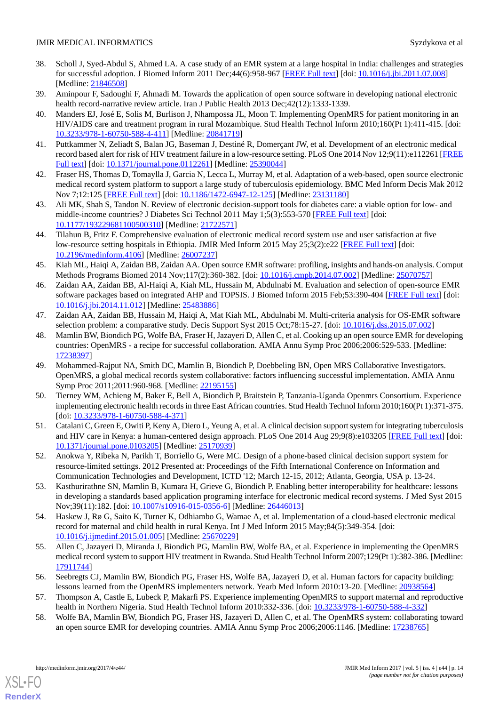- <span id="page-13-0"></span>38. Scholl J, Syed-Abdul S, Ahmed LA. A case study of an EMR system at a large hospital in India: challenges and strategies for successful adoption. J Biomed Inform 2011 Dec;44(6):958-967 [\[FREE Full text](https://linkinghub.elsevier.com/retrieve/pii/S1532-0464(11)00126-2)] [doi: [10.1016/j.jbi.2011.07.008](http://dx.doi.org/10.1016/j.jbi.2011.07.008)] [Medline: [21846508](http://www.ncbi.nlm.nih.gov/entrez/query.fcgi?cmd=Retrieve&db=PubMed&list_uids=21846508&dopt=Abstract)]
- <span id="page-13-2"></span><span id="page-13-1"></span>39. Aminpour F, Sadoughi F, Ahmadi M. Towards the application of open source software in developing national electronic health record-narrative review article. Iran J Public Health 2013 Dec;42(12):1333-1339.
- 40. Manders EJ, José E, Solis M, Burlison J, Nhampossa JL, Moon T. Implementing OpenMRS for patient monitoring in an HIV/AIDS care and treatment program in rural Mozambique. Stud Health Technol Inform 2010;160(Pt 1):411-415. [doi: [10.3233/978-1-60750-588-4-411](http://dx.doi.org/10.3233/978-1-60750-588-4-411)] [Medline: [20841719](http://www.ncbi.nlm.nih.gov/entrez/query.fcgi?cmd=Retrieve&db=PubMed&list_uids=20841719&dopt=Abstract)]
- <span id="page-13-4"></span><span id="page-13-3"></span>41. Puttkammer N, Zeliadt S, Balan JG, Baseman J, Destiné R, Domerçant JW, et al. Development of an electronic medical record based alert for risk of HIV treatment failure in a low-resource setting. PLoS One 2014 Nov 12;9(11):e112261 [\[FREE](http://dx.plos.org/10.1371/journal.pone.0112261) [Full text\]](http://dx.plos.org/10.1371/journal.pone.0112261) [doi: [10.1371/journal.pone.0112261](http://dx.doi.org/10.1371/journal.pone.0112261)] [Medline: [25390044](http://www.ncbi.nlm.nih.gov/entrez/query.fcgi?cmd=Retrieve&db=PubMed&list_uids=25390044&dopt=Abstract)]
- <span id="page-13-5"></span>42. Fraser HS, Thomas D, Tomaylla J, Garcia N, Lecca L, Murray M, et al. Adaptation of a web-based, open source electronic medical record system platform to support a large study of tuberculosis epidemiology. BMC Med Inform Decis Mak 2012 Nov 7;12:125 [[FREE Full text\]](https://bmcmedinformdecismak.biomedcentral.com/articles/10.1186/1472-6947-12-125) [doi: [10.1186/1472-6947-12-125](http://dx.doi.org/10.1186/1472-6947-12-125)] [Medline: [23131180](http://www.ncbi.nlm.nih.gov/entrez/query.fcgi?cmd=Retrieve&db=PubMed&list_uids=23131180&dopt=Abstract)]
- <span id="page-13-6"></span>43. Ali MK, Shah S, Tandon N. Review of electronic decision-support tools for diabetes care: a viable option for low- and middle-income countries? J Diabetes Sci Technol 2011 May 1;5(3):553-570 [[FREE Full text](http://europepmc.org/abstract/MED/21722571)] [doi: [10.1177/193229681100500310\]](http://dx.doi.org/10.1177/193229681100500310) [Medline: [21722571\]](http://www.ncbi.nlm.nih.gov/entrez/query.fcgi?cmd=Retrieve&db=PubMed&list_uids=21722571&dopt=Abstract)
- <span id="page-13-7"></span>44. Tilahun B, Fritz F. Comprehensive evaluation of electronic medical record system use and user satisfaction at five low-resource setting hospitals in Ethiopia. JMIR Med Inform 2015 May 25;3(2):e22 [[FREE Full text\]](http://medinform.jmir.org/2015/2/e22/) [doi: [10.2196/medinform.4106\]](http://dx.doi.org/10.2196/medinform.4106) [Medline: [26007237](http://www.ncbi.nlm.nih.gov/entrez/query.fcgi?cmd=Retrieve&db=PubMed&list_uids=26007237&dopt=Abstract)]
- 45. Kiah ML, Haiqi A, Zaidan BB, Zaidan AA. Open source EMR software: profiling, insights and hands-on analysis. Comput Methods Programs Biomed 2014 Nov;117(2):360-382. [doi: [10.1016/j.cmpb.2014.07.002](http://dx.doi.org/10.1016/j.cmpb.2014.07.002)] [Medline: [25070757](http://www.ncbi.nlm.nih.gov/entrez/query.fcgi?cmd=Retrieve&db=PubMed&list_uids=25070757&dopt=Abstract)]
- <span id="page-13-8"></span>46. Zaidan AA, Zaidan BB, Al-Haiqi A, Kiah ML, Hussain M, Abdulnabi M. Evaluation and selection of open-source EMR software packages based on integrated AHP and TOPSIS. J Biomed Inform 2015 Feb;53:390-404 [\[FREE Full text\]](https://linkinghub.elsevier.com/retrieve/pii/S1532-0464(14)00262-7) [doi: [10.1016/j.jbi.2014.11.012](http://dx.doi.org/10.1016/j.jbi.2014.11.012)] [Medline: [25483886\]](http://www.ncbi.nlm.nih.gov/entrez/query.fcgi?cmd=Retrieve&db=PubMed&list_uids=25483886&dopt=Abstract)
- <span id="page-13-9"></span>47. Zaidan AA, Zaidan BB, Hussain M, Haiqi A, Mat Kiah ML, Abdulnabi M. Multi-criteria analysis for OS-EMR software selection problem: a comparative study. Decis Support Syst 2015 Oct;78:15-27. [doi: [10.1016/j.dss.2015.07.002\]](http://dx.doi.org/10.1016/j.dss.2015.07.002)
- 48. Mamlin BW, Biondich PG, Wolfe BA, Fraser H, Jazayeri D, Allen C, et al. Cooking up an open source EMR for developing countries: OpenMRS - a recipe for successful collaboration. AMIA Annu Symp Proc 2006;2006:529-533. [Medline: [17238397](http://www.ncbi.nlm.nih.gov/entrez/query.fcgi?cmd=Retrieve&db=PubMed&list_uids=17238397&dopt=Abstract)]
- 49. Mohammed-Rajput NA, Smith DC, Mamlin B, Biondich P, Doebbeling BN, Open MRS Collaborative Investigators. OpenMRS, a global medical records system collaborative: factors influencing successful implementation. AMIA Annu Symp Proc 2011;2011:960-968. [Medline: [22195155](http://www.ncbi.nlm.nih.gov/entrez/query.fcgi?cmd=Retrieve&db=PubMed&list_uids=22195155&dopt=Abstract)]
- 50. Tierney WM, Achieng M, Baker E, Bell A, Biondich P, Braitstein P, Tanzania-Uganda Openmrs Consortium. Experience implementing electronic health records in three East African countries. Stud Health Technol Inform 2010;160(Pt 1):371-375. [doi: [10.3233/978-1-60750-588-4-371\]](http://dx.doi.org/10.3233/978-1-60750-588-4-371)
- 51. Catalani C, Green E, Owiti P, Keny A, Diero L, Yeung A, et al. A clinical decision support system for integrating tuberculosis and HIV care in Kenya: a human-centered design approach. PLoS One 2014 Aug 29;9(8):e103205 [[FREE Full text](http://dx.plos.org/10.1371/journal.pone.0103205)] [doi: [10.1371/journal.pone.0103205\]](http://dx.doi.org/10.1371/journal.pone.0103205) [Medline: [25170939](http://www.ncbi.nlm.nih.gov/entrez/query.fcgi?cmd=Retrieve&db=PubMed&list_uids=25170939&dopt=Abstract)]
- 52. Anokwa Y, Ribeka N, Parikh T, Borriello G, Were MC. Design of a phone-based clinical decision support system for resource-limited settings. 2012 Presented at: Proceedings of the Fifth International Conference on Information and Communication Technologies and Development, ICTD '12; March 12-15, 2012; Atlanta, Georgia, USA p. 13-24.
- <span id="page-13-11"></span>53. Kasthurirathne SN, Mamlin B, Kumara H, Grieve G, Biondich P. Enabling better interoperability for healthcare: lessons in developing a standards based application programing interface for electronic medical record systems. J Med Syst 2015 Nov;39(11):182. [doi: [10.1007/s10916-015-0356-6](http://dx.doi.org/10.1007/s10916-015-0356-6)] [Medline: [26446013](http://www.ncbi.nlm.nih.gov/entrez/query.fcgi?cmd=Retrieve&db=PubMed&list_uids=26446013&dopt=Abstract)]
- 54. Haskew J, Rø G, Saito K, Turner K, Odhiambo G, Wamae A, et al. Implementation of a cloud-based electronic medical record for maternal and child health in rural Kenya. Int J Med Inform 2015 May;84(5):349-354. [doi: [10.1016/j.ijmedinf.2015.01.005\]](http://dx.doi.org/10.1016/j.ijmedinf.2015.01.005) [Medline: [25670229](http://www.ncbi.nlm.nih.gov/entrez/query.fcgi?cmd=Retrieve&db=PubMed&list_uids=25670229&dopt=Abstract)]
- <span id="page-13-12"></span><span id="page-13-10"></span>55. Allen C, Jazayeri D, Miranda J, Biondich PG, Mamlin BW, Wolfe BA, et al. Experience in implementing the OpenMRS medical record system to support HIV treatment in Rwanda. Stud Health Technol Inform 2007;129(Pt 1):382-386. [Medline: [17911744](http://www.ncbi.nlm.nih.gov/entrez/query.fcgi?cmd=Retrieve&db=PubMed&list_uids=17911744&dopt=Abstract)]
- 56. Seebregts CJ, Mamlin BW, Biondich PG, Fraser HS, Wolfe BA, Jazayeri D, et al. Human factors for capacity building: lessons learned from the OpenMRS implementers network. Yearb Med Inform 2010:13-20. [Medline: [20938564](http://www.ncbi.nlm.nih.gov/entrez/query.fcgi?cmd=Retrieve&db=PubMed&list_uids=20938564&dopt=Abstract)]
- 57. Thompson A, Castle E, Lubeck P, Makarfi PS. Experience implementing OpenMRS to support maternal and reproductive health in Northern Nigeria. Stud Health Technol Inform 2010:332-336. [doi: [10.3233/978-1-60750-588-4-332\]](http://dx.doi.org/10.3233/978-1-60750-588-4-332)
- 58. Wolfe BA, Mamlin BW, Biondich PG, Fraser HS, Jazayeri D, Allen C, et al. The OpenMRS system: collaborating toward an open source EMR for developing countries. AMIA Annu Symp Proc 2006;2006:1146. [Medline: [17238765\]](http://www.ncbi.nlm.nih.gov/entrez/query.fcgi?cmd=Retrieve&db=PubMed&list_uids=17238765&dopt=Abstract)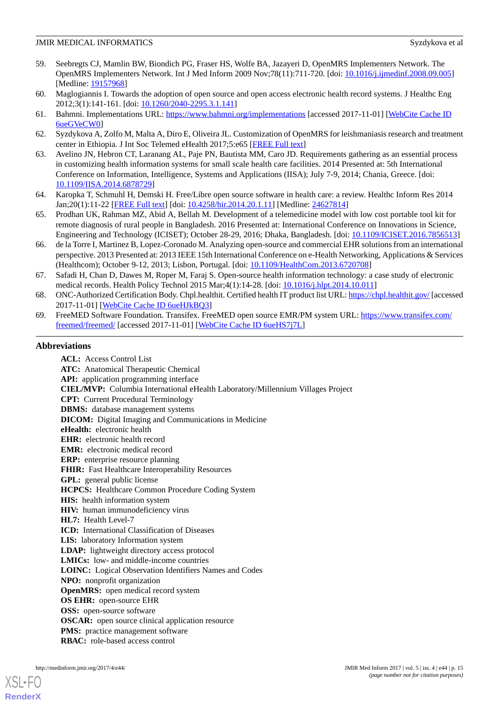- <span id="page-14-0"></span>59. Seebregts CJ, Mamlin BW, Biondich PG, Fraser HS, Wolfe BA, Jazayeri D, OpenMRS Implementers Network. The OpenMRS Implementers Network. Int J Med Inform 2009 Nov;78(11):711-720. [doi: [10.1016/j.ijmedinf.2008.09.005\]](http://dx.doi.org/10.1016/j.ijmedinf.2008.09.005) [Medline: [19157968](http://www.ncbi.nlm.nih.gov/entrez/query.fcgi?cmd=Retrieve&db=PubMed&list_uids=19157968&dopt=Abstract)]
- <span id="page-14-2"></span><span id="page-14-1"></span>60. Maglogiannis I. Towards the adoption of open source and open access electronic health record systems. J Healthc Eng 2012;3(1):141-161. [doi: [10.1260/2040-2295.3.1.141\]](http://dx.doi.org/10.1260/2040-2295.3.1.141)
- <span id="page-14-3"></span>61. Bahmni. Implementations URL:<https://www.bahmni.org/implementations> [accessed 2017-11-01] [[WebCite Cache ID](http://www.webcitation.org/

                                6ueGVeCW0) [6ueGVeCW0\]](http://www.webcitation.org/

                                6ueGVeCW0)
- <span id="page-14-4"></span>62. Syzdykova A, Zolfo M, Malta A, Diro E, Oliveira JL. Customization of OpenMRS for leishmaniasis research and treatment center in Ethiopia. J Int Soc Telemed eHealth 2017;5:e65 [\[FREE Full text\]](http://journals.ukzn.ac.za/index.php/JISfTeH/article/view/314)
- 63. Avelino JN, Hebron CT, Laranang AL, Paje PN, Bautista MM, Caro JD. Requirements gathering as an essential process in customizing health information systems for small scale health care facilities. 2014 Presented at: 5th International Conference on Information, Intelligence, Systems and Applications (IISA); July 7-9, 2014; Chania, Greece. [doi: [10.1109/IISA.2014.6878729](http://dx.doi.org/10.1109/IISA.2014.6878729)]
- 64. Karopka T, Schmuhl H, Demski H. Free/Libre open source software in health care: a review. Healthc Inform Res 2014 Jan;20(1):11-22 [\[FREE Full text\]](http://www.e-hir.org/journal/viewJournal.html?year=2014&vol=020&num=01&page=11) [doi: [10.4258/hir.2014.20.1.11\]](http://dx.doi.org/10.4258/hir.2014.20.1.11) [Medline: [24627814](http://www.ncbi.nlm.nih.gov/entrez/query.fcgi?cmd=Retrieve&db=PubMed&list_uids=24627814&dopt=Abstract)]
- <span id="page-14-5"></span>65. Prodhan UK, Rahman MZ, Abid A, Bellah M. Development of a telemedicine model with low cost portable tool kit for remote diagnosis of rural people in Bangladesh. 2016 Presented at: International Conference on Innovations in Science, Engineering and Technology (ICISET); October 28-29, 2016; Dhaka, Bangladesh. [doi: [10.1109/ICISET.2016.7856513\]](http://dx.doi.org/10.1109/ICISET.2016.7856513)
- <span id="page-14-6"></span>66. de la Torre I, Martinez B, Lopez-Coronado M. Analyzing open-source and commercial EHR solutions from an international perspective. 2013 Presented at: 2013 IEEE 15th International Conference on e-Health Networking, Applications & Services (Healthcom); October 9-12, 2013; Lisbon, Portugal. [doi: [10.1109/HealthCom.2013.6720708](http://dx.doi.org/10.1109/HealthCom.2013.6720708)]
- <span id="page-14-8"></span><span id="page-14-7"></span>67. Safadi H, Chan D, Dawes M, Roper M, Faraj S. Open-source health information technology: a case study of electronic medical records. Health Policy Technol 2015 Mar;4(1):14-28. [doi: [10.1016/j.hlpt.2014.10.011](http://dx.doi.org/10.1016/j.hlpt.2014.10.011)]
- 68. ONC-Authorized Certification Body. Chpl.healthit. Certified health IT product list URL:<https://chpl.healthit.gov/> [accessed 2017-11-01] [\[WebCite Cache ID 6ueHJkBQ3\]](http://www.webcitation.org/

                                6ueHJkBQ3)
- 69. FreeMED Software Foundation. Transifex. FreeMED open source EMR/PM system URL: [https://www.transifex.com/](https://www.transifex.com/freemed/freemed/) [freemed/freemed/](https://www.transifex.com/freemed/freemed/) [accessed 2017-11-01] [[WebCite Cache ID 6ueHS7j7L\]](http://www.webcitation.org/

                                6ueHS7j7L)

#### **Abbreviations**

**ACL:** Access Control List **ATC:** Anatomical Therapeutic Chemical **API:** application programming interface **CIEL/MVP:** Columbia International eHealth Laboratory/Millennium Villages Project **CPT:** Current Procedural Terminology **DBMS:** database management systems **DICOM:** Digital Imaging and Communications in Medicine **eHealth:** electronic health **EHR:** electronic health record **EMR:** electronic medical record **ERP:** enterprise resource planning FHIR: Fast Healthcare Interoperability Resources **GPL:** general public license **HCPCS:** Healthcare Common Procedure Coding System **HIS:** health information system **HIV:** human immunodeficiency virus **HL7:** Health Level-7 **ICD:** International Classification of Diseases LIS: laboratory Information system **LDAP:** lightweight directory access protocol **LMICs:** low- and middle-income countries **LOINC:** Logical Observation Identifiers Names and Codes **NPO:** nonprofit organization **OpenMRS:** open medical record system **OS EHR:** open-source EHR **OSS:** open-source software **OSCAR:** open source clinical application resource **PMS:** practice management software **RBAC:** role-based access control